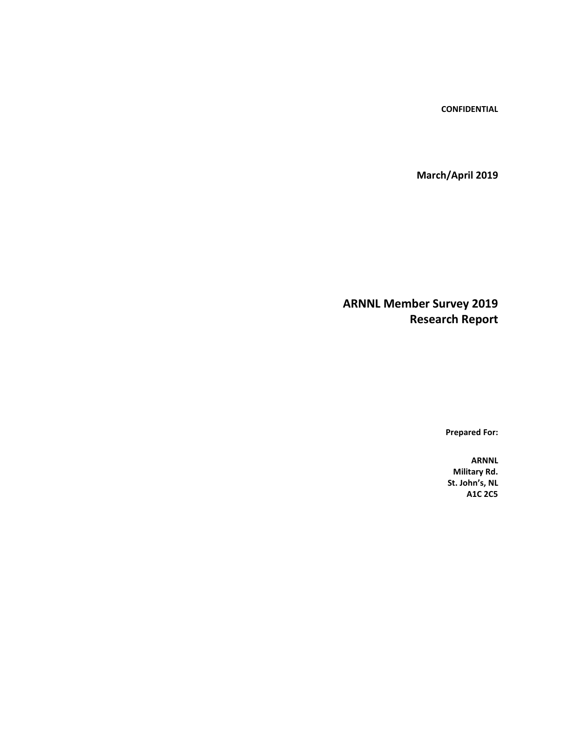**CONFIDENTIAL**

**March/April 2019**

**ARNNL Member Survey 2019 Research Report**

**Prepared For:**

**ARNNL Military Rd. St. John's, NL A1C 2C5**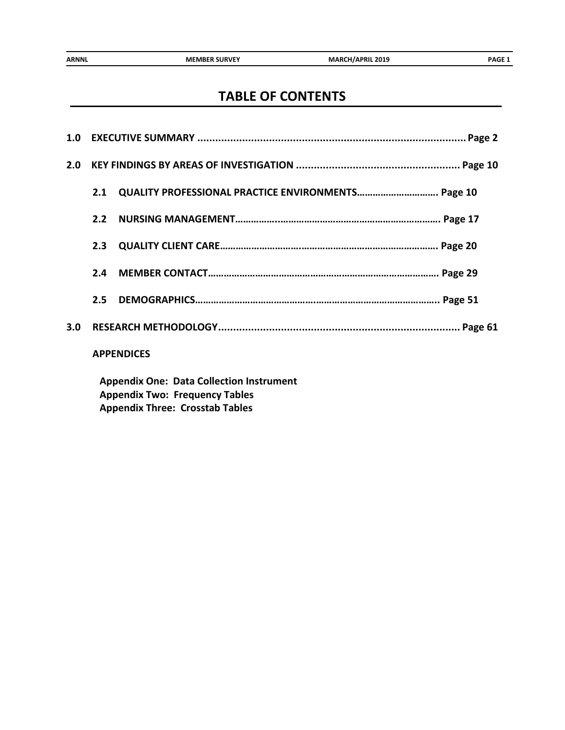# **TABLE OF CONTENTS**

| 2.0              |     |                                                    |
|------------------|-----|----------------------------------------------------|
|                  | 2.1 | QUALITY PROFESSIONAL PRACTICE ENVIRONMENTS Page 10 |
|                  | 2.2 |                                                    |
|                  | 2.3 |                                                    |
|                  | 2.4 |                                                    |
|                  | 2.5 |                                                    |
| 3.0 <sub>2</sub> |     |                                                    |
|                  |     | <b>APPENDICES</b>                                  |
|                  |     |                                                    |

**Appendix One: Data Collection Instrument Appendix Two: Frequency Tables Appendix Three: Crosstab Tables**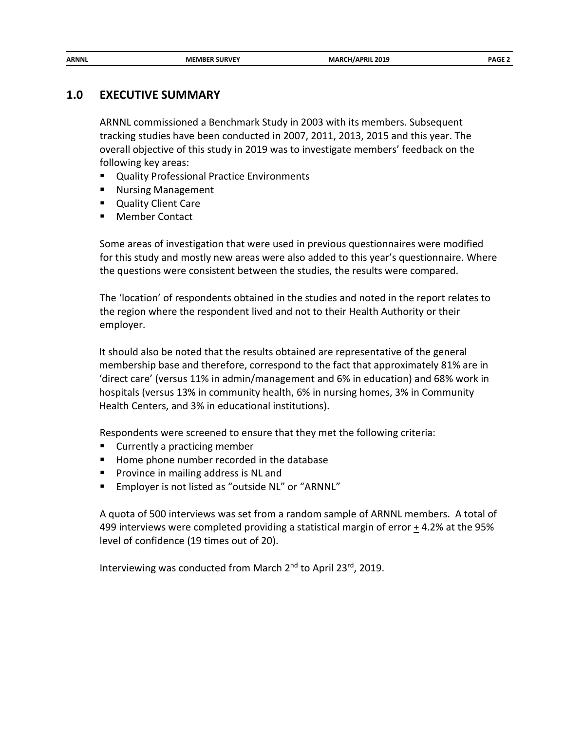## **1.0 EXECUTIVE SUMMARY**

ARNNL commissioned a Benchmark Study in 2003 with its members. Subsequent tracking studies have been conducted in 2007, 2011, 2013, 2015 and this year. The overall objective of this study in 2019 was to investigate members' feedback on the following key areas:

- **Quality Professional Practice Environments**
- Nursing Management
- **Quality Client Care**
- Member Contact

Some areas of investigation that were used in previous questionnaires were modified for this study and mostly new areas were also added to this year's questionnaire. Where the questions were consistent between the studies, the results were compared.

The 'location' of respondents obtained in the studies and noted in the report relates to the region where the respondent lived and not to their Health Authority or their employer.

It should also be noted that the results obtained are representative of the general membership base and therefore, correspond to the fact that approximately 81% are in 'direct care' (versus 11% in admin/management and 6% in education) and 68% work in hospitals (versus 13% in community health, 6% in nursing homes, 3% in Community Health Centers, and 3% in educational institutions).

Respondents were screened to ensure that they met the following criteria:

- **Currently a practicing member**
- **Home phone number recorded in the database**
- **Province in mailing address is NL and**
- **Employer is not listed as "outside NL" or "ARNNL"**

A quota of 500 interviews was set from a random sample of ARNNL members. A total of 499 interviews were completed providing a statistical margin of error  $\pm$  4.2% at the 95% level of confidence (19 times out of 20).

Interviewing was conducted from March 2<sup>nd</sup> to April 23<sup>rd</sup>, 2019.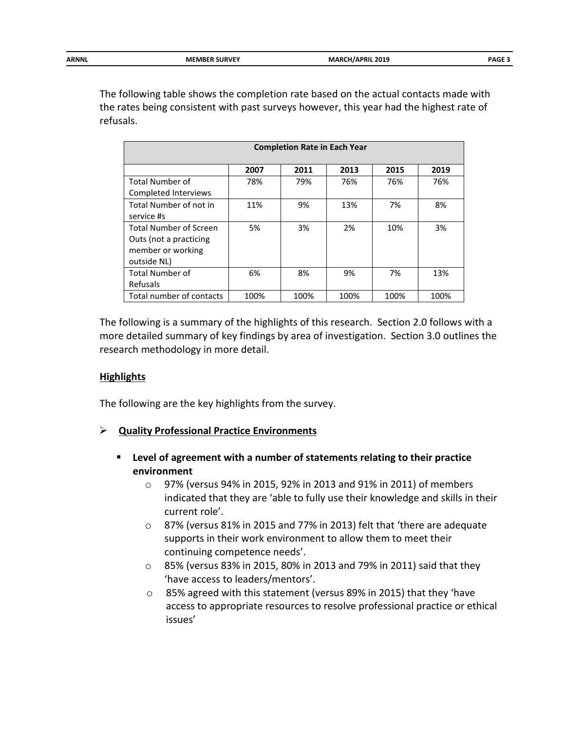| ARNNL | <b>MEMBER SURVEY</b> | <b>MARCH/APRIL 2019</b><br>$\sim$ $\sim$ | $\mathbf{A}$<br>PAGL. |
|-------|----------------------|------------------------------------------|-----------------------|
|       |                      |                                          |                       |

The following table shows the completion rate based on the actual contacts made with the rates being consistent with past surveys however, this year had the highest rate of refusals.

| <b>Completion Rate in Each Year</b>                                                         |      |      |      |      |      |  |  |
|---------------------------------------------------------------------------------------------|------|------|------|------|------|--|--|
| 2011<br>2013<br>2007<br>2015<br>2019                                                        |      |      |      |      |      |  |  |
| Total Number of<br>Completed Interviews                                                     | 78%  | 79%  | 76%  | 76%  | 76%  |  |  |
| Total Number of not in<br>service #s                                                        | 11%  | 9%   | 13%  | 7%   | 8%   |  |  |
| <b>Total Number of Screen</b><br>Outs (not a practicing<br>member or working<br>outside NL) | 5%   | 3%   | 2%   | 10%  | 3%   |  |  |
| <b>Total Number of</b><br>Refusals                                                          | 6%   | 8%   | 9%   | 7%   | 13%  |  |  |
| Total number of contacts                                                                    | 100% | 100% | 100% | 100% | 100% |  |  |

The following is a summary of the highlights of this research. Section 2.0 follows with a more detailed summary of key findings by area of investigation. Section 3.0 outlines the research methodology in more detail.

## **Highlights**

The following are the key highlights from the survey.

## **Quality Professional Practice Environments**

- **Level of agreement with a number of statements relating to their practice environment**
	- o 97% (versus 94% in 2015, 92% in 2013 and 91% in 2011) of members indicated that they are 'able to fully use their knowledge and skills in their current role'.
	- o 87% (versus 81% in 2015 and 77% in 2013) felt that 'there are adequate supports in their work environment to allow them to meet their continuing competence needs'.
	- o 85% (versus 83% in 2015, 80% in 2013 and 79% in 2011) said that they 'have access to leaders/mentors'.
	- o 85% agreed with this statement (versus 89% in 2015) that they 'have access to appropriate resources to resolve professional practice or ethical issues'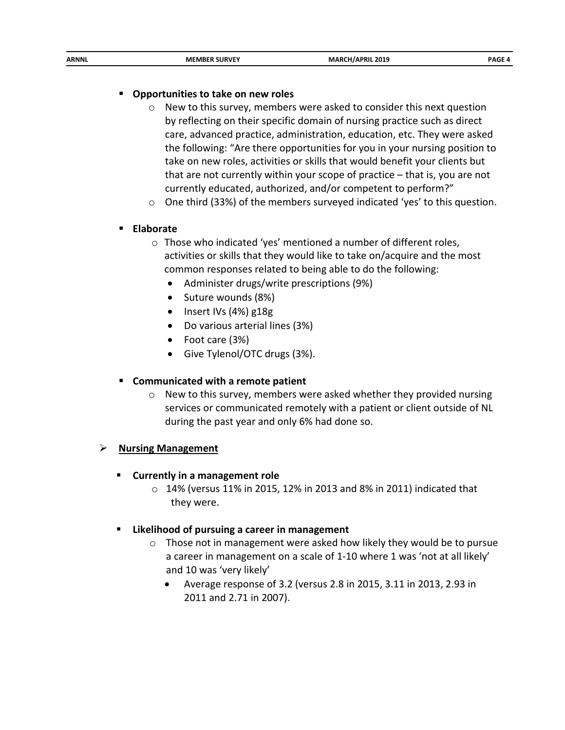| ARNNL | マハバト<br><b>MEMBF</b> | 2019<br>PRIL<br>MΔ<br>$\sim$ $\sim$ $\sim$ | . מכ |
|-------|----------------------|--------------------------------------------|------|
|       |                      |                                            |      |

#### **Opportunities to take on new roles**

- $\circ$  New to this survey, members were asked to consider this next question by reflecting on their specific domain of nursing practice such as direct care, advanced practice, administration, education, etc. They were asked the following: "Are there opportunities for you in your nursing position to take on new roles, activities or skills that would benefit your clients but that are not currently within your scope of practice – that is, you are not currently educated, authorized, and/or competent to perform?"
- $\circ$  One third (33%) of the members surveyed indicated 'yes' to this question.

## **Elaborate**

- o Those who indicated 'yes' mentioned a number of different roles, activities or skills that they would like to take on/acquire and the most common responses related to being able to do the following:
	- Administer drugs/write prescriptions (9%)
	- Suture wounds (8%)
	- Insert IVs (4%) g18g
	- Do various arterial lines (3%)
	- Foot care (3%)
	- Give Tylenol/OTC drugs (3%).

#### **Communicated with a remote patient**

o New to this survey, members were asked whether they provided nursing services or communicated remotely with a patient or client outside of NL during the past year and only 6% had done so.

#### **Nursing Management**

- **Currently in a management role**
	- $\circ$  14% (versus 11% in 2015, 12% in 2013 and 8% in 2011) indicated that they were.

#### **Likelihood of pursuing a career in management**

- $\circ$  Those not in management were asked how likely they would be to pursue a career in management on a scale of 1-10 where 1 was 'not at all likely' and 10 was 'very likely'
	- Average response of 3.2 (versus 2.8 in 2015, 3.11 in 2013, 2.93 in 2011 and 2.71 in 2007).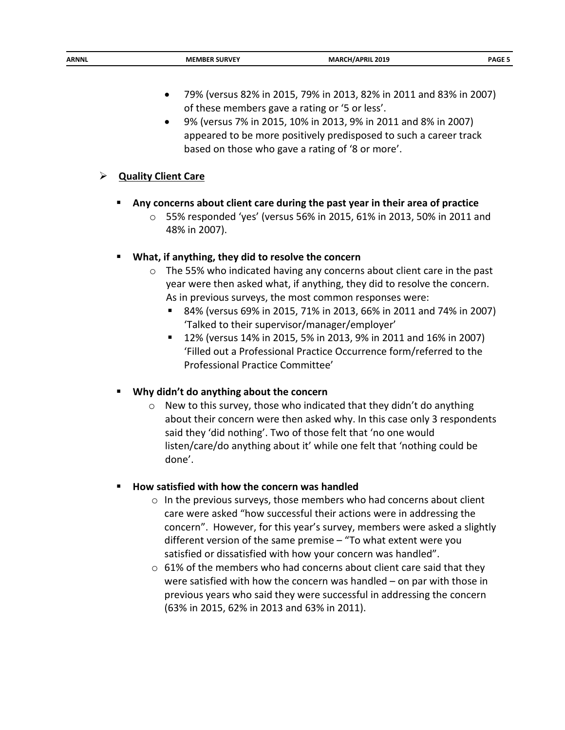- 79% (versus 82% in 2015, 79% in 2013, 82% in 2011 and 83% in 2007) of these members gave a rating or '5 or less'.
- 9% (versus 7% in 2015, 10% in 2013, 9% in 2011 and 8% in 2007) appeared to be more positively predisposed to such a career track based on those who gave a rating of '8 or more'.

## **Quality Client Care**

- **Any concerns about client care during the past year in their area of practice**
	- o 55% responded 'yes' (versus 56% in 2015, 61% in 2013, 50% in 2011 and 48% in 2007).

## **What, if anything, they did to resolve the concern**

- o The 55% who indicated having any concerns about client care in the past year were then asked what, if anything, they did to resolve the concern. As in previous surveys, the most common responses were:
	- 84% (versus 69% in 2015, 71% in 2013, 66% in 2011 and 74% in 2007) 'Talked to their supervisor/manager/employer'
	- 12% (versus 14% in 2015, 5% in 2013, 9% in 2011 and 16% in 2007) 'Filled out a Professional Practice Occurrence form/referred to the Professional Practice Committee'

# **Why didn't do anything about the concern**

 $\circ$  New to this survey, those who indicated that they didn't do anything about their concern were then asked why. In this case only 3 respondents said they 'did nothing'. Two of those felt that 'no one would listen/care/do anything about it' while one felt that 'nothing could be done'.

## **How satisfied with how the concern was handled**

- $\circ$  In the previous surveys, those members who had concerns about client care were asked "how successful their actions were in addressing the concern". However, for this year's survey, members were asked a slightly different version of the same premise – "To what extent were you satisfied or dissatisfied with how your concern was handled".
- $\circ$  61% of the members who had concerns about client care said that they were satisfied with how the concern was handled – on par with those in previous years who said they were successful in addressing the concern (63% in 2015, 62% in 2013 and 63% in 2011).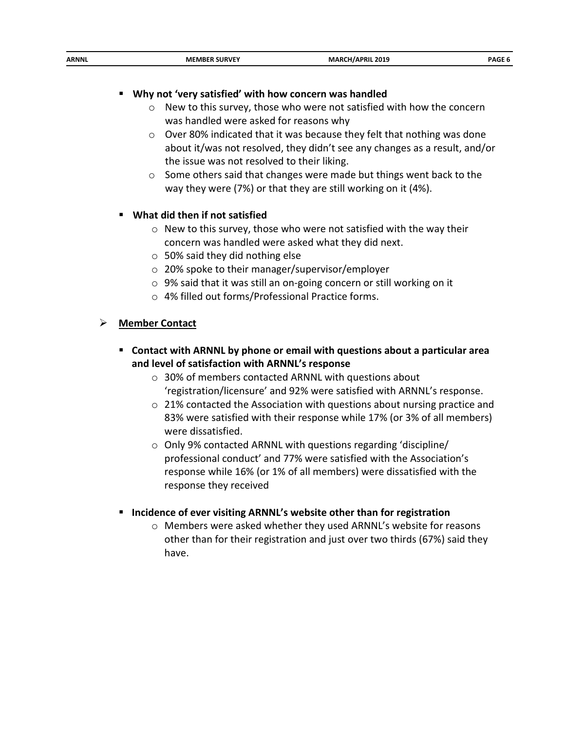|--|

## **Why not 'very satisfied' with how concern was handled**

- o New to this survey, those who were not satisfied with how the concern was handled were asked for reasons why
- o Over 80% indicated that it was because they felt that nothing was done about it/was not resolved, they didn't see any changes as a result, and/or the issue was not resolved to their liking.
- o Some others said that changes were made but things went back to the way they were (7%) or that they are still working on it (4%).

## **What did then if not satisfied**

- o New to this survey, those who were not satisfied with the way their concern was handled were asked what they did next.
- $\circ$  50% said they did nothing else
- o 20% spoke to their manager/supervisor/employer
- o 9% said that it was still an on-going concern or still working on it
- o 4% filled out forms/Professional Practice forms.

## **Member Contact**

- **Contact with ARNNL by phone or email with questions about a particular area and level of satisfaction with ARNNL's response**
	- o 30% of members contacted ARNNL with questions about 'registration/licensure' and 92% were satisfied with ARNNL's response.
	- o 21% contacted the Association with questions about nursing practice and 83% were satisfied with their response while 17% (or 3% of all members) were dissatisfied.
	- o Only 9% contacted ARNNL with questions regarding 'discipline/ professional conduct' and 77% were satisfied with the Association's response while 16% (or 1% of all members) were dissatisfied with the response they received
- **Incidence of ever visiting ARNNL's website other than for registration**
	- o Members were asked whether they used ARNNL's website for reasons other than for their registration and just over two thirds (67%) said they have.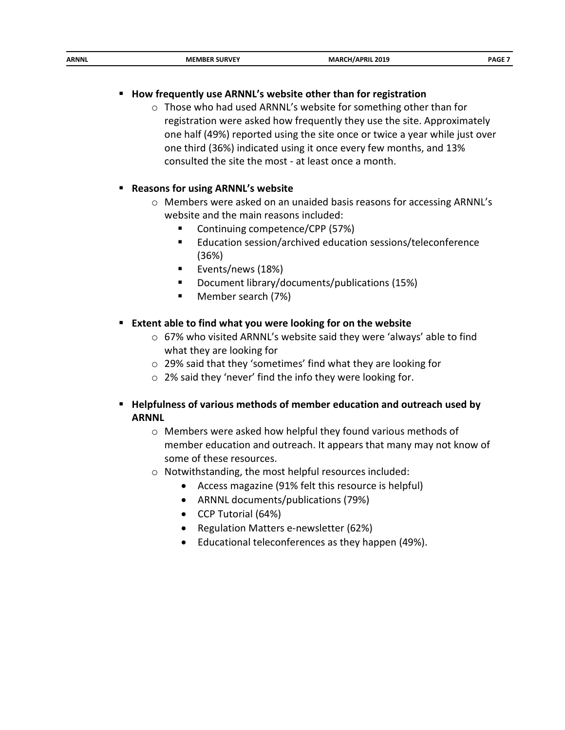| ARNNL<br>2019<br><b>SURVEY</b><br>PRIL<br>ME.<br>MARC<br>MBFR<br>ºAG.<br>. <i>. .</i> |
|---------------------------------------------------------------------------------------|
|---------------------------------------------------------------------------------------|

## **How frequently use ARNNL's website other than for registration**

o Those who had used ARNNL's website for something other than for registration were asked how frequently they use the site. Approximately one half (49%) reported using the site once or twice a year while just over one third (36%) indicated using it once every few months, and 13% consulted the site the most - at least once a month.

#### **Reasons for using ARNNL's website**

- o Members were asked on an unaided basis reasons for accessing ARNNL's website and the main reasons included:
	- Continuing competence/CPP (57%)
	- Education session/archived education sessions/teleconference (36%)
	- **Exents/news (18%)**
	- Document library/documents/publications (15%)
	- **Member search (7%)**

#### **Extent able to find what you were looking for on the website**

- o 67% who visited ARNNL's website said they were 'always' able to find what they are looking for
- o 29% said that they 'sometimes' find what they are looking for
- o 2% said they 'never' find the info they were looking for.
- **Helpfulness of various methods of member education and outreach used by ARNNL**
	- o Members were asked how helpful they found various methods of member education and outreach. It appears that many may not know of some of these resources.
	- o Notwithstanding, the most helpful resources included:
		- Access magazine (91% felt this resource is helpful)
		- ARNNL documents/publications (79%)
		- CCP Tutorial (64%)
		- Regulation Matters e-newsletter (62%)
		- Educational teleconferences as they happen (49%).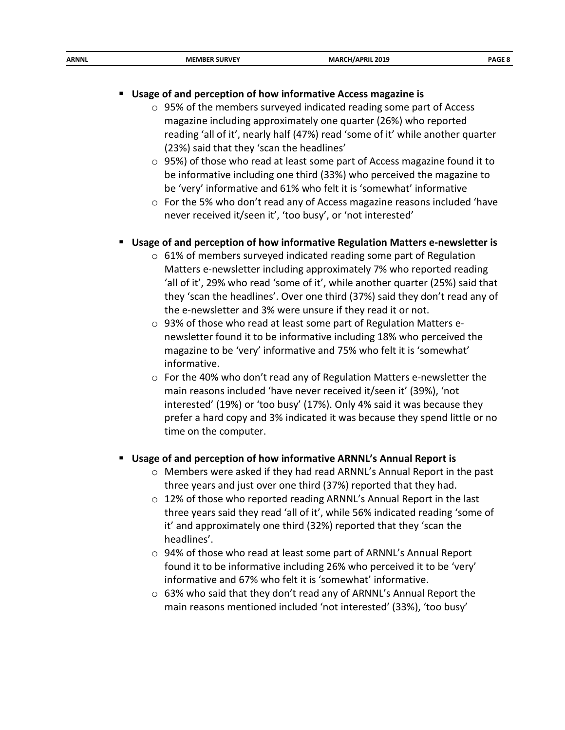| ARNNL<br>2019<br><b>MEMBF</b><br>MAR<br>H/APRIL<br>n a r<br>__<br>_____ |
|-------------------------------------------------------------------------|
|-------------------------------------------------------------------------|

#### **Usage of and perception of how informative Access magazine is**

- $\circ$  95% of the members surveyed indicated reading some part of Access magazine including approximately one quarter (26%) who reported reading 'all of it', nearly half (47%) read 'some of it' while another quarter (23%) said that they 'scan the headlines'
- o 95%) of those who read at least some part of Access magazine found it to be informative including one third (33%) who perceived the magazine to be 'very' informative and 61% who felt it is 'somewhat' informative
- o For the 5% who don't read any of Access magazine reasons included 'have never received it/seen it', 'too busy', or 'not interested'

## **Usage of and perception of how informative Regulation Matters e-newsletter is**

- o 61% of members surveyed indicated reading some part of Regulation Matters e-newsletter including approximately 7% who reported reading 'all of it', 29% who read 'some of it', while another quarter (25%) said that they 'scan the headlines'. Over one third (37%) said they don't read any of the e-newsletter and 3% were unsure if they read it or not.
- o 93% of those who read at least some part of Regulation Matters enewsletter found it to be informative including 18% who perceived the magazine to be 'very' informative and 75% who felt it is 'somewhat' informative.
- o For the 40% who don't read any of Regulation Matters e-newsletter the main reasons included 'have never received it/seen it' (39%), 'not interested' (19%) or 'too busy' (17%). Only 4% said it was because they prefer a hard copy and 3% indicated it was because they spend little or no time on the computer.

#### **Usage of and perception of how informative ARNNL's Annual Report is**

- o Members were asked if they had read ARNNL's Annual Report in the past three years and just over one third (37%) reported that they had.
- $\circ$  12% of those who reported reading ARNNL's Annual Report in the last three years said they read 'all of it', while 56% indicated reading 'some of it' and approximately one third (32%) reported that they 'scan the headlines'.
- o 94% of those who read at least some part of ARNNL's Annual Report found it to be informative including 26% who perceived it to be 'very' informative and 67% who felt it is 'somewhat' informative.
- o 63% who said that they don't read any of ARNNL's Annual Report the main reasons mentioned included 'not interested' (33%), 'too busy'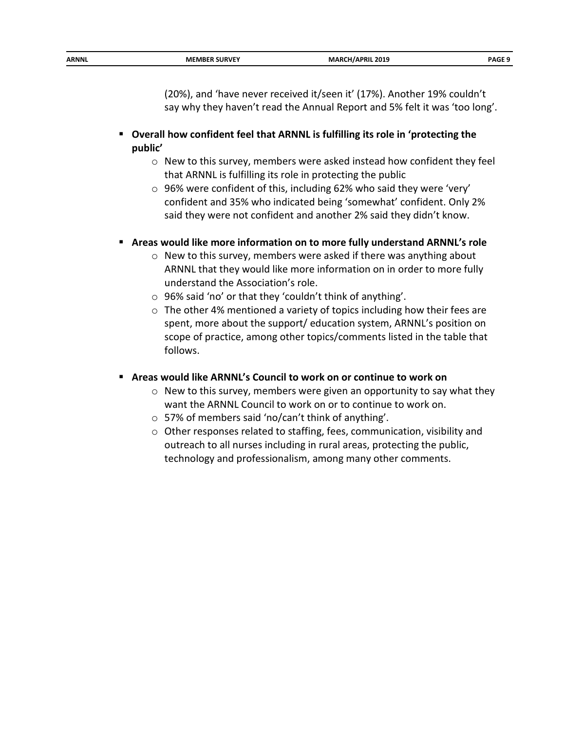|--|

(20%), and 'have never received it/seen it' (17%). Another 19% couldn't say why they haven't read the Annual Report and 5% felt it was 'too long'.

- **Overall how confident feel that ARNNL is fulfilling its role in 'protecting the public'**
	- o New to this survey, members were asked instead how confident they feel that ARNNL is fulfilling its role in protecting the public
	- o 96% were confident of this, including 62% who said they were 'very' confident and 35% who indicated being 'somewhat' confident. Only 2% said they were not confident and another 2% said they didn't know.

#### **Areas would like more information on to more fully understand ARNNL's role**

- o New to this survey, members were asked if there was anything about ARNNL that they would like more information on in order to more fully understand the Association's role.
- o 96% said 'no' or that they 'couldn't think of anything'.
- o The other 4% mentioned a variety of topics including how their fees are spent, more about the support/ education system, ARNNL's position on scope of practice, among other topics/comments listed in the table that follows.
- **Areas would like ARNNL's Council to work on or continue to work on**
	- o New to this survey, members were given an opportunity to say what they want the ARNNL Council to work on or to continue to work on.
	- o 57% of members said 'no/can't think of anything'.
	- o Other responses related to staffing, fees, communication, visibility and outreach to all nurses including in rural areas, protecting the public, technology and professionalism, among many other comments.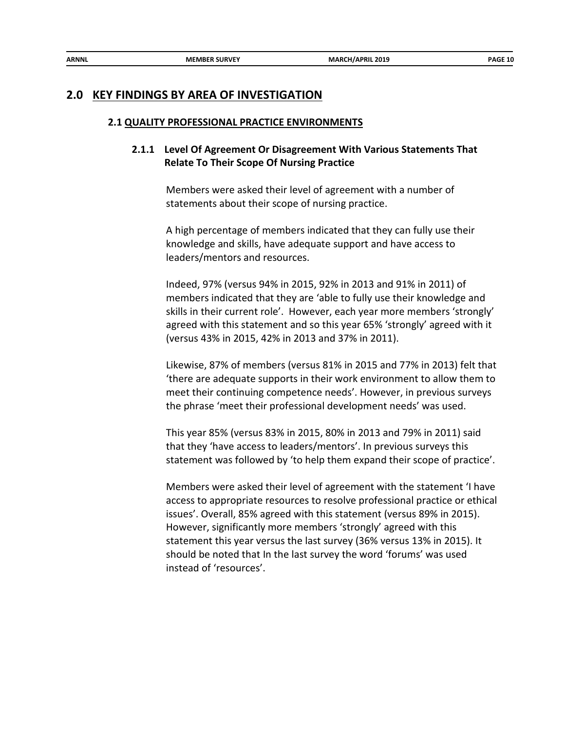## **2.0 KEY FINDINGS BY AREA OF INVESTIGATION**

#### **2.1 QUALITY PROFESSIONAL PRACTICE ENVIRONMENTS**

## **2.1.1 Level Of Agreement Or Disagreement With Various Statements That Relate To Their Scope Of Nursing Practice**

Members were asked their level of agreement with a number of statements about their scope of nursing practice.

A high percentage of members indicated that they can fully use their knowledge and skills, have adequate support and have access to leaders/mentors and resources.

Indeed, 97% (versus 94% in 2015, 92% in 2013 and 91% in 2011) of members indicated that they are 'able to fully use their knowledge and skills in their current role'. However, each year more members 'strongly' agreed with this statement and so this year 65% 'strongly' agreed with it (versus 43% in 2015, 42% in 2013 and 37% in 2011).

Likewise, 87% of members (versus 81% in 2015 and 77% in 2013) felt that 'there are adequate supports in their work environment to allow them to meet their continuing competence needs'. However, in previous surveys the phrase 'meet their professional development needs' was used.

This year 85% (versus 83% in 2015, 80% in 2013 and 79% in 2011) said that they 'have access to leaders/mentors'. In previous surveys this statement was followed by 'to help them expand their scope of practice'.

Members were asked their level of agreement with the statement 'I have access to appropriate resources to resolve professional practice or ethical issues'. Overall, 85% agreed with this statement (versus 89% in 2015). However, significantly more members 'strongly' agreed with this statement this year versus the last survey (36% versus 13% in 2015). It should be noted that In the last survey the word 'forums' was used instead of 'resources'.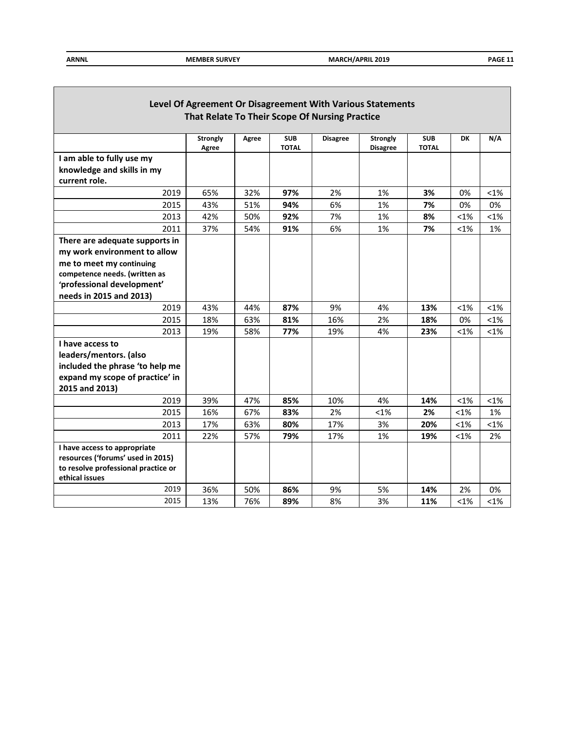Г

| Level Of Agreement Or Disagreement With Various Statements<br>That Relate To Their Scope Of Nursing Practice |                          |       |                            |                 |                                    |                            |         |         |
|--------------------------------------------------------------------------------------------------------------|--------------------------|-------|----------------------------|-----------------|------------------------------------|----------------------------|---------|---------|
|                                                                                                              | <b>Strongly</b><br>Agree | Agree | <b>SUB</b><br><b>TOTAL</b> | <b>Disagree</b> | <b>Strongly</b><br><b>Disagree</b> | <b>SUB</b><br><b>TOTAL</b> | DK      | N/A     |
| I am able to fully use my                                                                                    |                          |       |                            |                 |                                    |                            |         |         |
| knowledge and skills in my                                                                                   |                          |       |                            |                 |                                    |                            |         |         |
| current role.                                                                                                |                          |       |                            |                 |                                    |                            |         |         |
| 2019                                                                                                         | 65%                      | 32%   | 97%                        | 2%              | 1%                                 | 3%                         | 0%      | $< 1\%$ |
| 2015                                                                                                         | 43%                      | 51%   | 94%                        | 6%              | 1%                                 | 7%                         | 0%      | 0%      |
| 2013                                                                                                         | 42%                      | 50%   | 92%                        | 7%              | 1%                                 | 8%                         | $< 1\%$ | $< 1\%$ |
| 2011                                                                                                         | 37%                      | 54%   | 91%                        | 6%              | 1%                                 | 7%                         | $< 1\%$ | 1%      |
| There are adequate supports in                                                                               |                          |       |                            |                 |                                    |                            |         |         |
| my work environment to allow                                                                                 |                          |       |                            |                 |                                    |                            |         |         |
| me to meet my continuing                                                                                     |                          |       |                            |                 |                                    |                            |         |         |
| competence needs. (written as                                                                                |                          |       |                            |                 |                                    |                            |         |         |
| 'professional development'                                                                                   |                          |       |                            |                 |                                    |                            |         |         |
| needs in 2015 and 2013)                                                                                      |                          |       |                            |                 |                                    |                            |         |         |
| 2019                                                                                                         | 43%                      | 44%   | 87%                        | 9%              | 4%                                 | 13%                        | $< 1\%$ | $<1\%$  |
| 2015                                                                                                         | 18%                      | 63%   | 81%                        | 16%             | 2%                                 | 18%                        | 0%      | $<$ 1%  |
| 2013                                                                                                         | 19%                      | 58%   | 77%                        | 19%             | 4%                                 | 23%                        | $< 1\%$ | $< 1\%$ |
| I have access to                                                                                             |                          |       |                            |                 |                                    |                            |         |         |
| leaders/mentors. (also                                                                                       |                          |       |                            |                 |                                    |                            |         |         |
| included the phrase 'to help me                                                                              |                          |       |                            |                 |                                    |                            |         |         |
| expand my scope of practice' in                                                                              |                          |       |                            |                 |                                    |                            |         |         |
| 2015 and 2013)                                                                                               |                          |       |                            |                 |                                    |                            |         |         |
| 2019                                                                                                         | 39%                      | 47%   | 85%                        | 10%             | 4%                                 | 14%                        | $< 1\%$ | $< 1\%$ |
| 2015                                                                                                         | 16%                      | 67%   | 83%                        | 2%              | <1%                                | 2%                         | <1%     | 1%      |
| 2013                                                                                                         | 17%                      | 63%   | 80%                        | 17%             | 3%                                 | 20%                        | $< 1\%$ | $< 1\%$ |
| 2011                                                                                                         | 22%                      | 57%   | 79%                        | 17%             | 1%                                 | 19%                        | $< 1\%$ | 2%      |
| I have access to appropriate                                                                                 |                          |       |                            |                 |                                    |                            |         |         |
| resources ('forums' used in 2015)                                                                            |                          |       |                            |                 |                                    |                            |         |         |
| to resolve professional practice or                                                                          |                          |       |                            |                 |                                    |                            |         |         |
| ethical issues                                                                                               |                          |       |                            |                 |                                    |                            |         |         |
| 2019                                                                                                         | 36%                      | 50%   | 86%                        | 9%              | 5%                                 | 14%                        | 2%      | 0%      |
| 2015                                                                                                         | 13%                      | 76%   | 89%                        | 8%              | 3%                                 | 11%                        | $< 1\%$ | $< 1\%$ |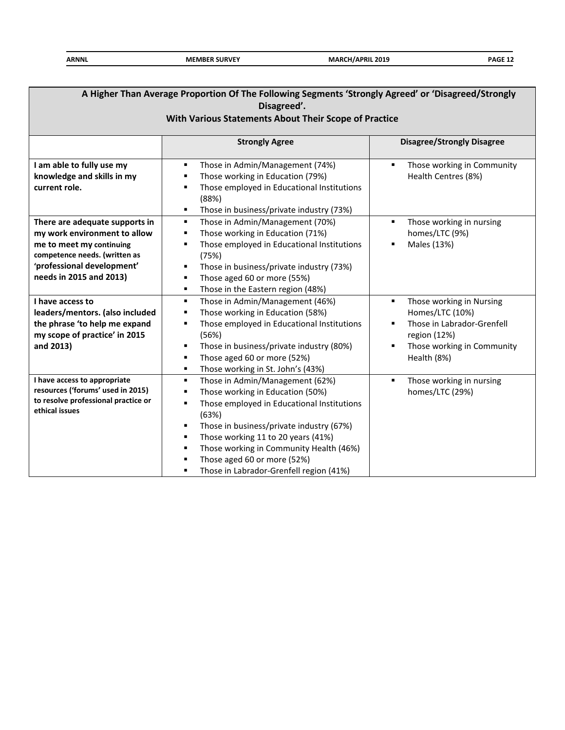| A Higher Than Average Proportion Of The Following Segments 'Strongly Agreed' or 'Disagreed/Strongly<br>Disagreed'.<br>With Various Statements About Their Scope of Practice          |                                                                                                                                                                                                                                                                                                                                                                                                                  |                                                                                                                                             |  |  |  |  |  |
|--------------------------------------------------------------------------------------------------------------------------------------------------------------------------------------|------------------------------------------------------------------------------------------------------------------------------------------------------------------------------------------------------------------------------------------------------------------------------------------------------------------------------------------------------------------------------------------------------------------|---------------------------------------------------------------------------------------------------------------------------------------------|--|--|--|--|--|
| <b>Strongly Agree</b><br><b>Disagree/Strongly Disagree</b>                                                                                                                           |                                                                                                                                                                                                                                                                                                                                                                                                                  |                                                                                                                                             |  |  |  |  |  |
| I am able to fully use my<br>knowledge and skills in my<br>current role.                                                                                                             | Those in Admin/Management (74%)<br>٠<br>Those working in Education (79%)<br>٠<br>Those employed in Educational Institutions<br>٠<br>(88%)<br>Those in business/private industry (73%)<br>٠                                                                                                                                                                                                                       | Those working in Community<br>$\blacksquare$<br>Health Centres (8%)                                                                         |  |  |  |  |  |
| There are adequate supports in<br>my work environment to allow<br>me to meet my continuing<br>competence needs. (written as<br>'professional development'<br>needs in 2015 and 2013) | Those in Admin/Management (70%)<br>٠<br>Those working in Education (71%)<br>٠<br>Those employed in Educational Institutions<br>$\blacksquare$<br>(75%)<br>Those in business/private industry (73%)<br>٠<br>Those aged 60 or more (55%)<br>٠<br>Those in the Eastern region (48%)<br>٠                                                                                                                            | Those working in nursing<br>٠<br>homes/LTC (9%)<br>Males (13%)                                                                              |  |  |  |  |  |
| I have access to<br>leaders/mentors. (also included<br>the phrase 'to help me expand<br>my scope of practice' in 2015<br>and 2013)                                                   | Those in Admin/Management (46%)<br>٠<br>Those working in Education (58%)<br>٠<br>Those employed in Educational Institutions<br>٠<br>(56%)<br>Those in business/private industry (80%)<br>٠<br>Those aged 60 or more (52%)<br>٠<br>Those working in St. John's (43%)<br>$\blacksquare$                                                                                                                            | Those working in Nursing<br>Homes/LTC (10%)<br>Those in Labrador-Grenfell<br>region (12%)<br>Those working in Community<br>٠<br>Health (8%) |  |  |  |  |  |
| I have access to appropriate<br>resources ('forums' used in 2015)<br>to resolve professional practice or<br>ethical issues                                                           | Those in Admin/Management (62%)<br>$\blacksquare$<br>Those working in Education (50%)<br>$\blacksquare$<br>Those employed in Educational Institutions<br>٠<br>(63%)<br>Those in business/private industry (67%)<br>$\blacksquare$<br>Those working 11 to 20 years (41%)<br>٠<br>Those working in Community Health (46%)<br>٠<br>Those aged 60 or more (52%)<br>٠<br>Those in Labrador-Grenfell region (41%)<br>٠ | Those working in nursing<br>٠<br>homes/LTC (29%)                                                                                            |  |  |  |  |  |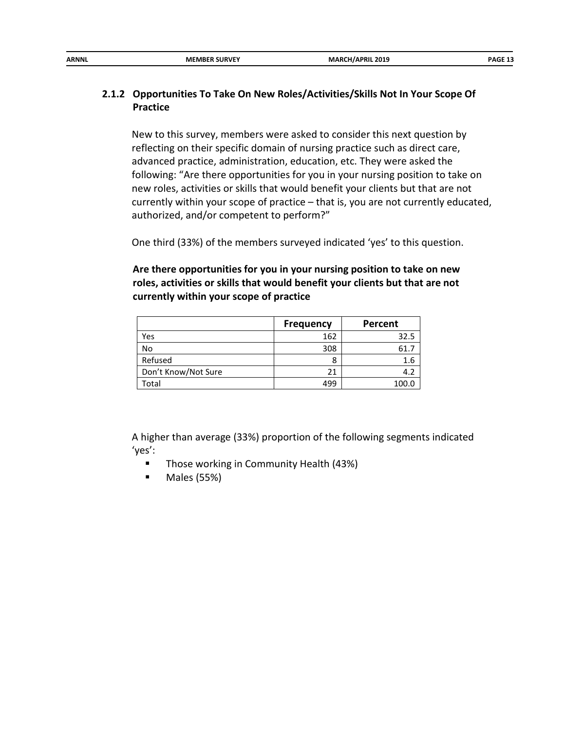| ARNNL | <b>MEMBER SURVEY</b> | <b>MARCH/APRIL 2019</b><br>__<br>_______ | PAGF <sub>13</sub> |
|-------|----------------------|------------------------------------------|--------------------|
|       |                      |                                          |                    |

## **2.1.2 Opportunities To Take On New Roles/Activities/Skills Not In Your Scope Of Practice**

New to this survey, members were asked to consider this next question by reflecting on their specific domain of nursing practice such as direct care, advanced practice, administration, education, etc. They were asked the following: "Are there opportunities for you in your nursing position to take on new roles, activities or skills that would benefit your clients but that are not currently within your scope of practice – that is, you are not currently educated, authorized, and/or competent to perform?"

One third (33%) of the members surveyed indicated 'yes' to this question.

## **Are there opportunities for you in your nursing position to take on new roles, activities or skills that would benefit your clients but that are not currently within your scope of practice**

|                     | <b>Frequency</b> | Percent |
|---------------------|------------------|---------|
| Yes                 | 162              | 32.5    |
| No                  | 308              | 61.     |
| Refused             | 8                | 1.6     |
| Don't Know/Not Sure | 21               | 4.2     |
| Total               | 499              | 100.0   |

A higher than average (33%) proportion of the following segments indicated 'yes':

- **Those working in Community Health (43%)**
- Males (55%)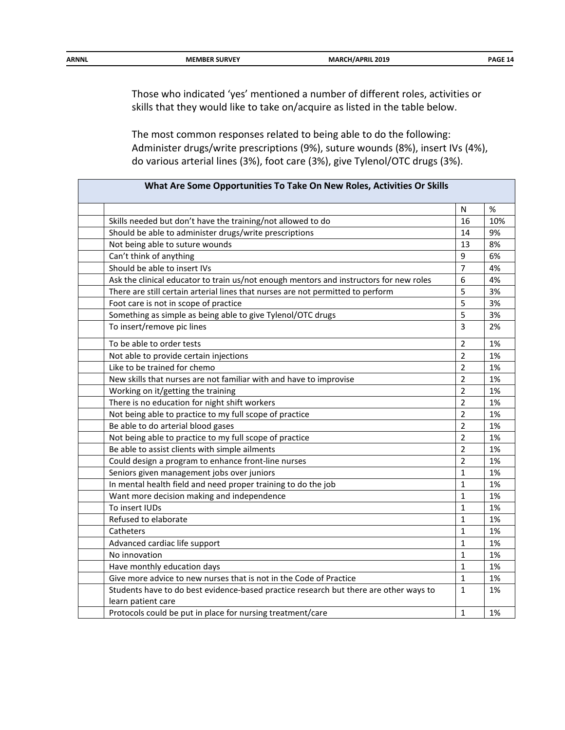| <b>ARNNL</b> | <b>MEMBER SURVEY</b> | <b>MARCH/APRIL 2019</b> | <b>PAGE 14</b> |
|--------------|----------------------|-------------------------|----------------|

Those who indicated 'yes' mentioned a number of different roles, activities or skills that they would like to take on/acquire as listed in the table below.

The most common responses related to being able to do the following: Administer drugs/write prescriptions (9%), suture wounds (8%), insert IVs (4%), do various arterial lines (3%), foot care (3%), give Tylenol/OTC drugs (3%).

|                                                                                        | N              | $\%$ |
|----------------------------------------------------------------------------------------|----------------|------|
| Skills needed but don't have the training/not allowed to do                            | 16             | 10%  |
| Should be able to administer drugs/write prescriptions                                 | 14             | 9%   |
| Not being able to suture wounds                                                        | 13             | 8%   |
| Can't think of anything                                                                | 9              | 6%   |
| Should be able to insert IVs                                                           | $\overline{7}$ | 4%   |
| Ask the clinical educator to train us/not enough mentors and instructors for new roles | 6              | 4%   |
| There are still certain arterial lines that nurses are not permitted to perform        | 5              | 3%   |
| Foot care is not in scope of practice                                                  | 5              | 3%   |
| Something as simple as being able to give Tylenol/OTC drugs                            | 5              | 3%   |
| To insert/remove pic lines                                                             | $\overline{3}$ | 2%   |
| To be able to order tests                                                              | $\overline{2}$ | 1%   |
| Not able to provide certain injections                                                 | $\overline{2}$ | 1%   |
| Like to be trained for chemo                                                           | $\overline{2}$ | 1%   |
| New skills that nurses are not familiar with and have to improvise                     | $\overline{2}$ | 1%   |
| Working on it/getting the training                                                     | $\overline{2}$ | 1%   |
| There is no education for night shift workers                                          | $\overline{2}$ | 1%   |
| Not being able to practice to my full scope of practice                                | $\overline{2}$ | 1%   |
| Be able to do arterial blood gases                                                     | $\overline{2}$ | 1%   |
| Not being able to practice to my full scope of practice                                | $\overline{2}$ | 1%   |
| Be able to assist clients with simple ailments                                         | $\overline{2}$ | 1%   |
| Could design a program to enhance front-line nurses                                    | $\overline{2}$ | 1%   |
| Seniors given management jobs over juniors                                             | $\mathbf{1}$   | 1%   |
| In mental health field and need proper training to do the job                          | $\mathbf{1}$   | 1%   |
| Want more decision making and independence                                             | $\mathbf{1}$   | 1%   |
| To insert IUDs                                                                         | $\mathbf{1}$   | 1%   |
| Refused to elaborate                                                                   | $\mathbf{1}$   | 1%   |
| Catheters                                                                              | $\mathbf{1}$   | 1%   |
| Advanced cardiac life support                                                          | $\mathbf{1}$   | 1%   |
| No innovation                                                                          | $\mathbf{1}$   | 1%   |
| Have monthly education days                                                            | $\mathbf{1}$   | 1%   |
| Give more advice to new nurses that is not in the Code of Practice                     | $\mathbf{1}$   | 1%   |
| Students have to do best evidence-based practice research but there are other ways to  | $\mathbf{1}$   | 1%   |
| learn patient care                                                                     |                |      |
| Protocols could be put in place for nursing treatment/care                             | $\mathbf{1}$   | 1%   |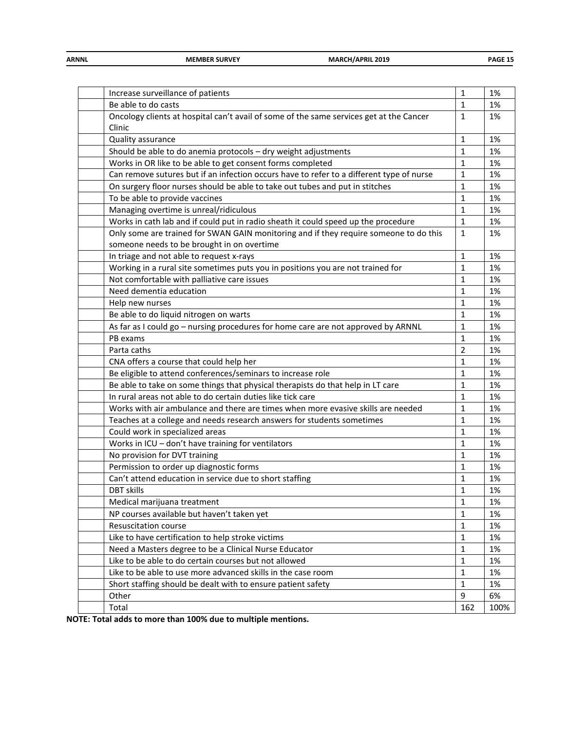| <b>ARNNL</b> | <b>MEMBER SURVEY</b> | <b>MARCH/APRIL 2019</b> | PAGE 15 |
|--------------|----------------------|-------------------------|---------|
|              |                      |                         |         |

| Increase surveillance of patients                                                        | 1            | 1%   |
|------------------------------------------------------------------------------------------|--------------|------|
| Be able to do casts                                                                      | 1            | 1%   |
| Oncology clients at hospital can't avail of some of the same services get at the Cancer  | 1            | 1%   |
| Clinic                                                                                   |              |      |
| Quality assurance                                                                        | $\mathbf{1}$ | 1%   |
| Should be able to do anemia protocols - dry weight adjustments                           | 1            | 1%   |
| Works in OR like to be able to get consent forms completed                               | $\mathbf{1}$ | 1%   |
| Can remove sutures but if an infection occurs have to refer to a different type of nurse | $1\,$        | 1%   |
| On surgery floor nurses should be able to take out tubes and put in stitches             | $\mathbf{1}$ | 1%   |
| To be able to provide vaccines                                                           | 1            | 1%   |
| Managing overtime is unreal/ridiculous                                                   | 1            | 1%   |
| Works in cath lab and if could put in radio sheath it could speed up the procedure       | $\mathbf{1}$ | 1%   |
| Only some are trained for SWAN GAIN monitoring and if they require someone to do this    | $\mathbf{1}$ | 1%   |
| someone needs to be brought in on overtime                                               |              |      |
| In triage and not able to request x-rays                                                 | $\mathbf{1}$ | 1%   |
| Working in a rural site sometimes puts you in positions you are not trained for          | 1            | 1%   |
| Not comfortable with palliative care issues                                              | 1            | 1%   |
| Need dementia education                                                                  | $\mathbf{1}$ | 1%   |
| Help new nurses                                                                          | 1            | 1%   |
| Be able to do liquid nitrogen on warts                                                   | 1            | 1%   |
| As far as I could go - nursing procedures for home care are not approved by ARNNL        | 1            | 1%   |
| PB exams                                                                                 | 1            | 1%   |
| Parta caths                                                                              | 2            | 1%   |
| CNA offers a course that could help her                                                  | 1            | 1%   |
| Be eligible to attend conferences/seminars to increase role                              | 1            | 1%   |
| Be able to take on some things that physical therapists do that help in LT care          | 1            | 1%   |
| In rural areas not able to do certain duties like tick care                              | $\mathbf{1}$ | 1%   |
| Works with air ambulance and there are times when more evasive skills are needed         | 1            | 1%   |
| Teaches at a college and needs research answers for students sometimes                   | 1            | 1%   |
| Could work in specialized areas                                                          | 1            | 1%   |
| Works in ICU - don't have training for ventilators                                       | $\mathbf{1}$ | 1%   |
| No provision for DVT training                                                            | $\mathbf{1}$ | 1%   |
| Permission to order up diagnostic forms                                                  | 1            | 1%   |
| Can't attend education in service due to short staffing                                  | 1            | 1%   |
| DBT skills                                                                               | 1            | 1%   |
| Medical marijuana treatment                                                              | $\mathbf 1$  | 1%   |
| NP courses available but haven't taken yet                                               | 1            | 1%   |
| Resuscitation course                                                                     | 1            | 1%   |
| Like to have certification to help stroke victims                                        | $\mathbf{1}$ | 1%   |
| Need a Masters degree to be a Clinical Nurse Educator                                    | $\mathbf{1}$ | 1%   |
| Like to be able to do certain courses but not allowed                                    | $\mathbf{1}$ | 1%   |
| Like to be able to use more advanced skills in the case room                             | $\mathbf{1}$ | 1%   |
| Short staffing should be dealt with to ensure patient safety                             | $\mathbf{1}$ | 1%   |
| Other                                                                                    | 9            | 6%   |
| Total                                                                                    | 162          | 100% |

**NOTE: Total adds to more than 100% due to multiple mentions.**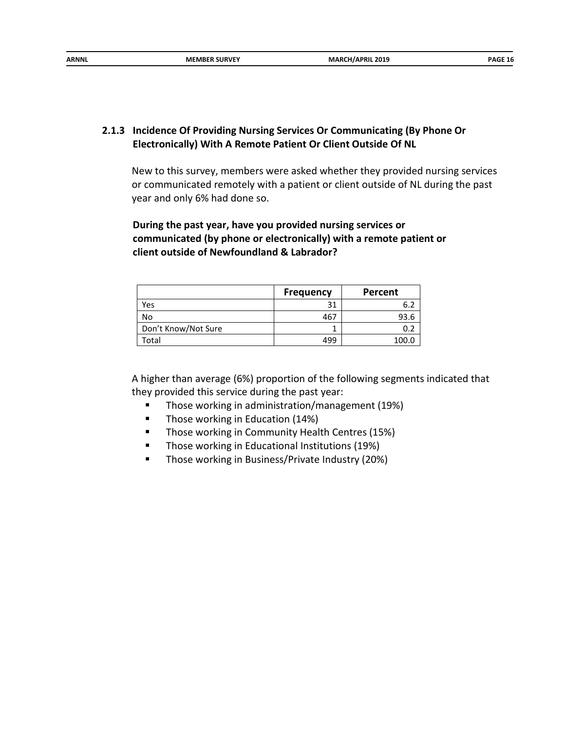#### **2.1.3 Incidence Of Providing Nursing Services Or Communicating (By Phone Or Electronically) With A Remote Patient Or Client Outside Of NL**

New to this survey, members were asked whether they provided nursing services or communicated remotely with a patient or client outside of NL during the past year and only 6% had done so.

**During the past year, have you provided nursing services or communicated (by phone or electronically) with a remote patient or client outside of Newfoundland & Labrador?**

|                     | <b>Frequency</b> | Percent |
|---------------------|------------------|---------|
| Yes                 |                  |         |
| No                  | 467              | 93.6    |
| Don't Know/Not Sure |                  |         |
| ™otal               | 499              | 100.0   |

A higher than average (6%) proportion of the following segments indicated that they provided this service during the past year:

- **Those working in administration/management (19%)**
- **Those working in Education (14%)**
- **Those working in Community Health Centres (15%)**
- **Those working in Educational Institutions (19%)**
- **Those working in Business/Private Industry (20%)**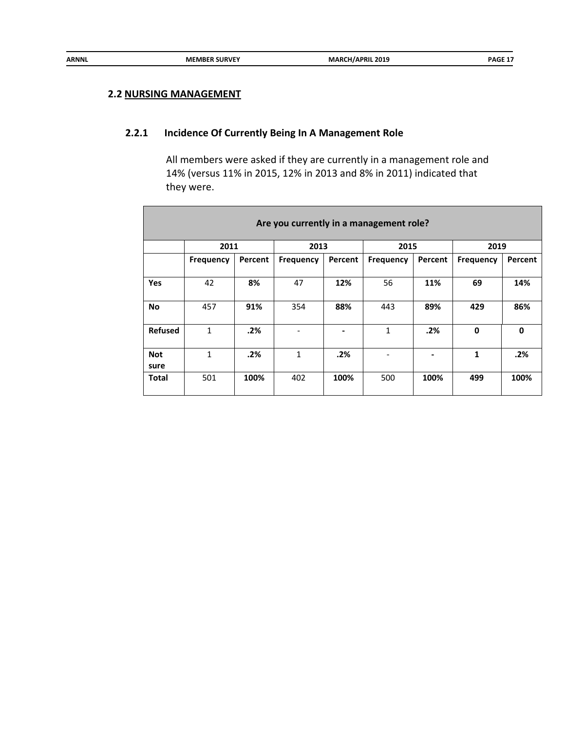#### **2.2 NURSING MANAGEMENT**

## **2.2.1 Incidence Of Currently Being In A Management Role**

All members were asked if they are currently in a management role and 14% (versus 11% in 2015, 12% in 2013 and 8% in 2011) indicated that they were.

| Are you currently in a management role? |                  |         |           |         |           |         |           |              |  |
|-----------------------------------------|------------------|---------|-----------|---------|-----------|---------|-----------|--------------|--|
|                                         | 2011             |         | 2013      |         | 2015      |         | 2019      |              |  |
|                                         | <b>Frequency</b> | Percent | Frequency | Percent | Frequency | Percent | Frequency | Percent      |  |
|                                         |                  |         |           |         |           |         |           |              |  |
| <b>Yes</b>                              | 42               | 8%      | 47        | 12%     | 56        | 11%     | 69        | 14%          |  |
| <b>No</b>                               | 457              | 91%     | 354       | 88%     | 443       | 89%     | 429       | 86%          |  |
| <b>Refused</b>                          | 1                | .2%     |           |         | 1         | .2%     | 0         | $\mathbf{0}$ |  |
| <b>Not</b><br>sure                      | 1                | .2%     | 1         | .2%     |           |         | 1         | .2%          |  |
| Total                                   | 501              | 100%    | 402       | 100%    | 500       | 100%    | 499       | 100%         |  |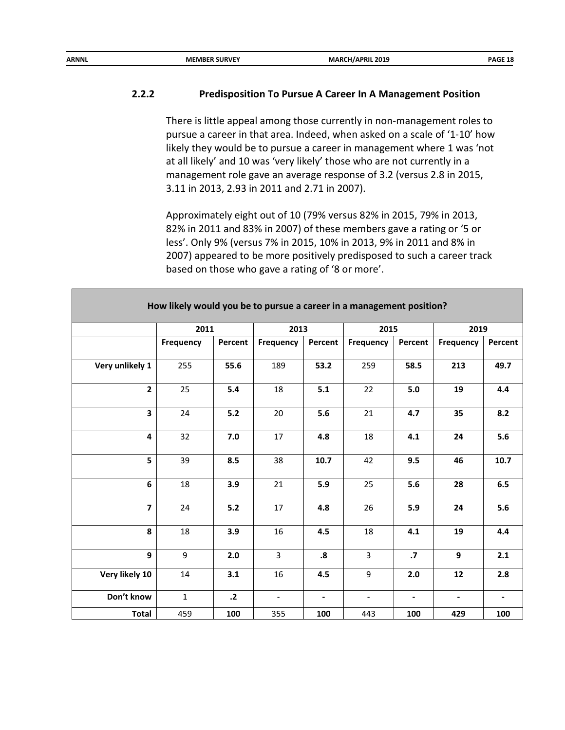## **2.2.2 Predisposition To Pursue A Career In A Management Position**

There is little appeal among those currently in non-management roles to pursue a career in that area. Indeed, when asked on a scale of '1-10' how likely they would be to pursue a career in management where 1 was 'not at all likely' and 10 was 'very likely' those who are not currently in a management role gave an average response of 3.2 (versus 2.8 in 2015, 3.11 in 2013, 2.93 in 2011 and 2.71 in 2007).

Approximately eight out of 10 (79% versus 82% in 2015, 79% in 2013, 82% in 2011 and 83% in 2007) of these members gave a rating or '5 or less'. Only 9% (versus 7% in 2015, 10% in 2013, 9% in 2011 and 8% in 2007) appeared to be more positively predisposed to such a career track based on those who gave a rating of '8 or more'.

|                         | 2011         |            | 2013                     |                   | 2015                     |                | 2019             |                |  |
|-------------------------|--------------|------------|--------------------------|-------------------|--------------------------|----------------|------------------|----------------|--|
|                         | Frequency    | Percent    | Frequency                | Percent           | Frequency                | Percent        | <b>Frequency</b> | Percent        |  |
|                         |              |            |                          |                   |                          |                |                  |                |  |
| Very unlikely 1         | 255          | 55.6       | 189                      | 53.2              | 259                      | 58.5           | 213              | 49.7           |  |
| $\overline{2}$          | 25           | 5.4        | 18                       | 5.1               | 22                       | 5.0            | 19               | 4.4            |  |
| $\overline{\mathbf{3}}$ | 24           | $5.2$      | 20                       | 5.6               | 21                       | 4.7            | 35               | 8.2            |  |
| $\overline{\mathbf{4}}$ | 32           | 7.0        | 17                       | 4.8               | 18                       | 4.1            | 24               | 5.6            |  |
| 5 <sup>5</sup>          | 39           | 8.5        | 38                       | 10.7              | 42                       | 9.5            | 46               | 10.7           |  |
| 6                       | 18           | 3.9        | 21                       | 5.9               | 25                       | 5.6            | 28               | 6.5            |  |
| $\overline{\mathbf{z}}$ | 24           | $5.2$      | 17                       | 4.8               | 26                       | 5.9            | 24               | 5.6            |  |
| 8                       | 18           | 3.9        | 16                       | 4.5               | 18                       | 4.1            | 19               | 4.4            |  |
| 9                       | 9            | 2.0        | 3                        | $\boldsymbol{.8}$ | $\overline{3}$           | $\cdot$        | 9                | 2.1            |  |
| Very likely 10          | 14           | 3.1        | 16                       | 4.5               | 9                        | 2.0            | 12               | 2.8            |  |
| Don't know              | $\mathbf{1}$ | $\cdot$ .2 | $\overline{\phantom{a}}$ | $\blacksquare$    | $\overline{\phantom{a}}$ | $\blacksquare$ | $\blacksquare$   | $\blacksquare$ |  |
| Total                   | 459          | 100        | 355                      | 100               | 443                      | 100            | 429              | 100            |  |

#### **How likely would you be to pursue a career in a management position?**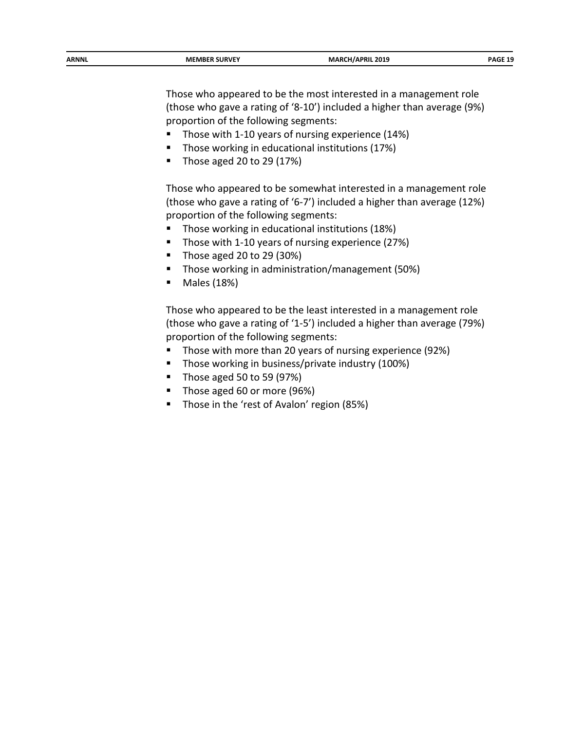| ARNNL | <b>SURVEY</b><br><b>MEMBER</b> | . 2019<br>7 N I L<br>__ | <b>DAGF</b> |
|-------|--------------------------------|-------------------------|-------------|
|       |                                |                         |             |

Those who appeared to be the most interested in a management role (those who gave a rating of '8-10') included a higher than average (9%) proportion of the following segments:

- Those with 1-10 years of nursing experience (14%)
- **Those working in educational institutions (17%)**
- Those aged 20 to 29  $(17%)$

Those who appeared to be somewhat interested in a management role (those who gave a rating of '6-7') included a higher than average (12%) proportion of the following segments:

- Those working in educational institutions (18%)
- Those with 1-10 years of nursing experience (27%)
- Those aged 20 to 29 (30%)
- Those working in administration/management (50%)
- Males (18%)

Those who appeared to be the least interested in a management role (those who gave a rating of '1-5') included a higher than average (79%) proportion of the following segments:

- **Those with more than 20 years of nursing experience (92%)**
- Those working in business/private industry (100%)
- Those aged 50 to 59 (97%)
- Those aged 60 or more (96%)
- Those in the 'rest of Avalon' region (85%)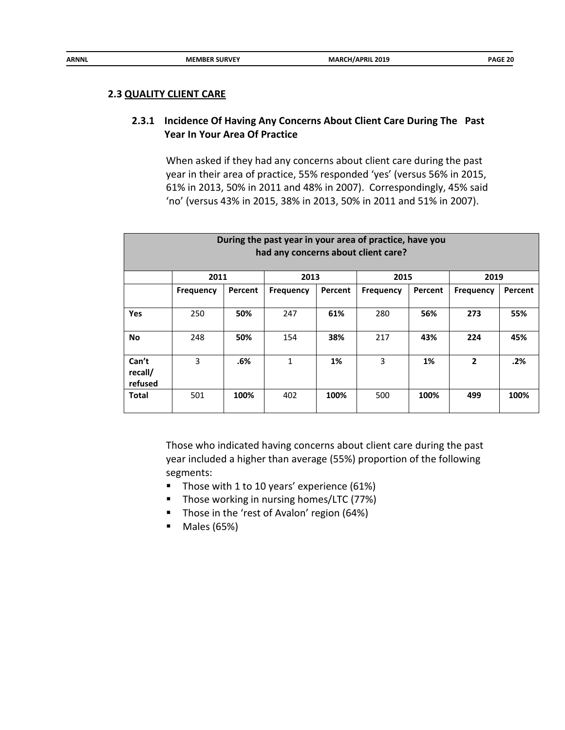#### **2.3 QUALITY CLIENT CARE**

## **2.3.1 Incidence Of Having Any Concerns About Client Care During The Past Year In Your Area Of Practice**

When asked if they had any concerns about client care during the past year in their area of practice, 55% responded 'yes' (versus 56% in 2015, 61% in 2013, 50% in 2011 and 48% in 2007). Correspondingly, 45% said 'no' (versus 43% in 2015, 38% in 2013, 50% in 2011 and 51% in 2007).

| During the past year in your area of practice, have you<br>had any concerns about client care? |                  |         |           |         |                  |         |                  |         |  |  |
|------------------------------------------------------------------------------------------------|------------------|---------|-----------|---------|------------------|---------|------------------|---------|--|--|
|                                                                                                | 2011             |         | 2013      |         | 2015             |         | 2019             |         |  |  |
|                                                                                                | <b>Frequency</b> | Percent | Frequency | Percent | <b>Frequency</b> | Percent | <b>Frequency</b> | Percent |  |  |
| Yes                                                                                            | 250              | 50%     | 247       | 61%     | 280              | 56%     | 273              | 55%     |  |  |
| No                                                                                             | 248              | 50%     | 154       | 38%     | 217              | 43%     | 224              | 45%     |  |  |
| Can't<br>recall/<br>refused                                                                    | 3                | .6%     | 1         | 1%      | 3                | 1%      | $\overline{2}$   | .2%     |  |  |
| Total                                                                                          | 501              | 100%    | 402       | 100%    | 500              | 100%    | 499              | 100%    |  |  |

Those who indicated having concerns about client care during the past year included a higher than average (55%) proportion of the following segments:

- Those with 1 to 10 years' experience (61%)
- Those working in nursing homes/LTC (77%)
- Those in the 'rest of Avalon' region (64%)
- Males (65%)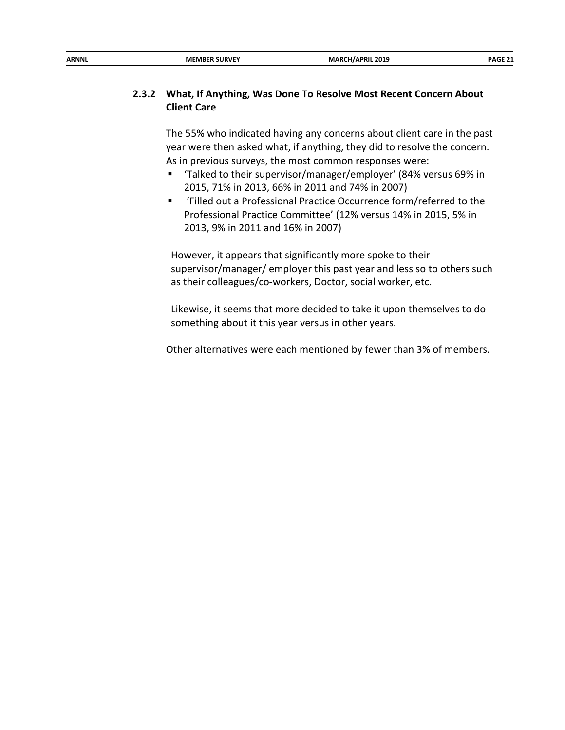| ARNNL | <b>MEMBER SURVEY</b> | <b>MARCH/APRIL 2019</b><br>__ | PAGE 21 |
|-------|----------------------|-------------------------------|---------|
|       |                      |                               |         |

## **2.3.2 What, If Anything, Was Done To Resolve Most Recent Concern About Client Care**

The 55% who indicated having any concerns about client care in the past year were then asked what, if anything, they did to resolve the concern. As in previous surveys, the most common responses were:

- Talked to their supervisor/manager/employer' (84% versus 69% in 2015, 71% in 2013, 66% in 2011 and 74% in 2007)
- 'Filled out a Professional Practice Occurrence form/referred to the Professional Practice Committee' (12% versus 14% in 2015, 5% in 2013, 9% in 2011 and 16% in 2007)

However, it appears that significantly more spoke to their supervisor/manager/ employer this past year and less so to others such as their colleagues/co-workers, Doctor, social worker, etc.

Likewise, it seems that more decided to take it upon themselves to do something about it this year versus in other years.

Other alternatives were each mentioned by fewer than 3% of members.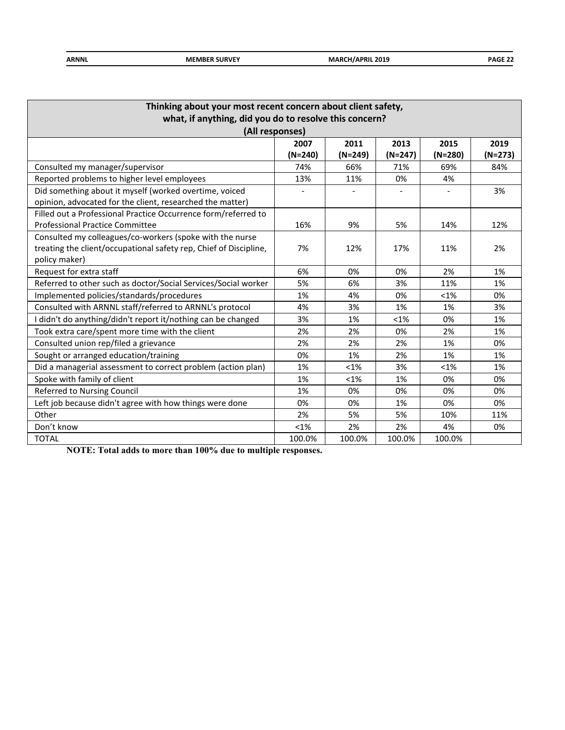| <b>ARNNL</b> | <b>MEMBER SURVEY</b> | <b>MARCH/APRIL 2019</b> | PAGE 22 |
|--------------|----------------------|-------------------------|---------|
|              |                      |                         |         |

| Thinking about your most recent concern about client safety,      |         |           |           |         |           |  |  |  |  |
|-------------------------------------------------------------------|---------|-----------|-----------|---------|-----------|--|--|--|--|
| what, if anything, did you do to resolve this concern?            |         |           |           |         |           |  |  |  |  |
| (All responses)                                                   |         |           |           |         |           |  |  |  |  |
| 2013<br>2011<br>2015<br>2019<br>2007                              |         |           |           |         |           |  |  |  |  |
|                                                                   | (N=240) | $(N=249)$ | $(N=247)$ | (N=280) | $(N=273)$ |  |  |  |  |
| Consulted my manager/supervisor                                   | 74%     | 66%       | 71%       | 69%     | 84%       |  |  |  |  |
| Reported problems to higher level employees                       | 13%     | 11%       | 0%        | 4%      |           |  |  |  |  |
| Did something about it myself (worked overtime, voiced            |         |           |           |         | 3%        |  |  |  |  |
| opinion, advocated for the client, researched the matter)         |         |           |           |         |           |  |  |  |  |
| Filled out a Professional Practice Occurrence form/referred to    |         |           |           |         |           |  |  |  |  |
| <b>Professional Practice Committee</b>                            | 16%     | 9%        | 5%        | 14%     | 12%       |  |  |  |  |
| Consulted my colleagues/co-workers (spoke with the nurse          |         |           |           |         |           |  |  |  |  |
| treating the client/occupational safety rep, Chief of Discipline, | 7%      | 12%       | 17%       | 11%     | 2%        |  |  |  |  |
| policy maker)                                                     |         |           |           |         |           |  |  |  |  |
| Request for extra staff                                           | 6%      | 0%        | 0%        | 2%      | 1%        |  |  |  |  |
| Referred to other such as doctor/Social Services/Social worker    | 5%      | 6%        | 3%        | 11%     | 1%        |  |  |  |  |
| Implemented policies/standards/procedures                         | 1%      | 4%        | 0%        | $< 1\%$ | 0%        |  |  |  |  |
| Consulted with ARNNL staff/referred to ARNNL's protocol           | 4%      | 3%        | 1%        | 1%      | 3%        |  |  |  |  |
| I didn't do anything/didn't report it/nothing can be changed      | 3%      | 1%        | $< 1\%$   | 0%      | 1%        |  |  |  |  |
| Took extra care/spent more time with the client                   | 2%      | 2%        | 0%        | 2%      | 1%        |  |  |  |  |
| Consulted union rep/filed a grievance                             | 2%      | 2%        | 2%        | 1%      | 0%        |  |  |  |  |
| Sought or arranged education/training                             | 0%      | 1%        | 2%        | 1%      | 1%        |  |  |  |  |
| Did a managerial assessment to correct problem (action plan)      | 1%      | $< 1\%$   | 3%        | $< 1\%$ | 1%        |  |  |  |  |
| Spoke with family of client                                       | 1%      | $< 1\%$   | 1%        | 0%      | 0%        |  |  |  |  |
| Referred to Nursing Council                                       | 1%      | 0%        | 0%        | 0%      | 0%        |  |  |  |  |
| Left job because didn't agree with how things were done           | 0%      | 0%        | 1%        | 0%      | 0%        |  |  |  |  |
| Other                                                             | 2%      | 5%        | 5%        | 10%     | 11%       |  |  |  |  |
| Don't know                                                        | <1%     | 2%        | 2%        | 4%      | 0%        |  |  |  |  |
| <b>TOTAL</b>                                                      | 100.0%  | 100.0%    | 100.0%    | 100.0%  |           |  |  |  |  |

**NOTE: Total adds to more than 100% due to multiple responses.**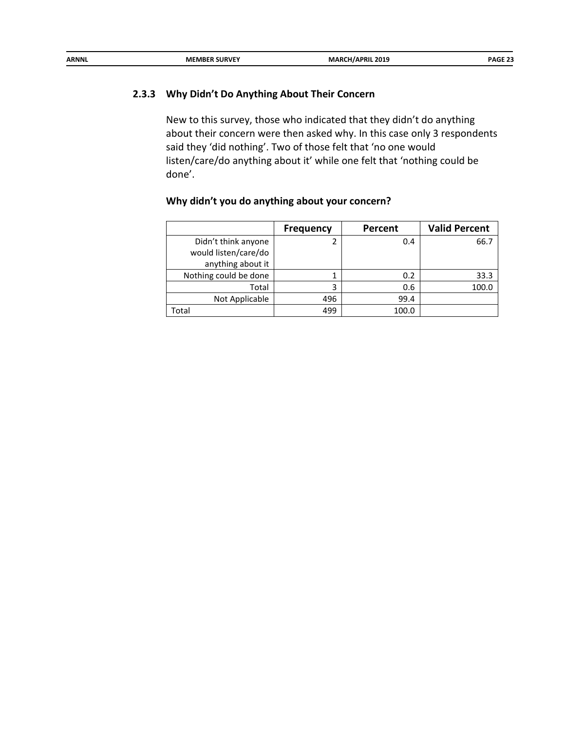| ARNNL | <b>MEMBER SURVEY</b> | <b>MARCH/APRIL 2019</b> | PAGE 23 |
|-------|----------------------|-------------------------|---------|
|       |                      | ______                  |         |
|       |                      |                         |         |

## **2.3.3 Why Didn't Do Anything About Their Concern**

New to this survey, those who indicated that they didn't do anything about their concern were then asked why. In this case only 3 respondents said they 'did nothing'. Two of those felt that 'no one would listen/care/do anything about it' while one felt that 'nothing could be done'.

|                       | <b>Frequency</b> | Percent | <b>Valid Percent</b> |
|-----------------------|------------------|---------|----------------------|
| Didn't think anyone   |                  | 0.4     | 66.7                 |
| would listen/care/do  |                  |         |                      |
| anything about it     |                  |         |                      |
| Nothing could be done |                  | 0.2     | 33.3                 |
| Total                 | 3                | 0.6     | 100.0                |
| Not Applicable        | 496              | 99.4    |                      |
| Total                 | 499              | 100.0   |                      |

## **Why didn't you do anything about your concern?**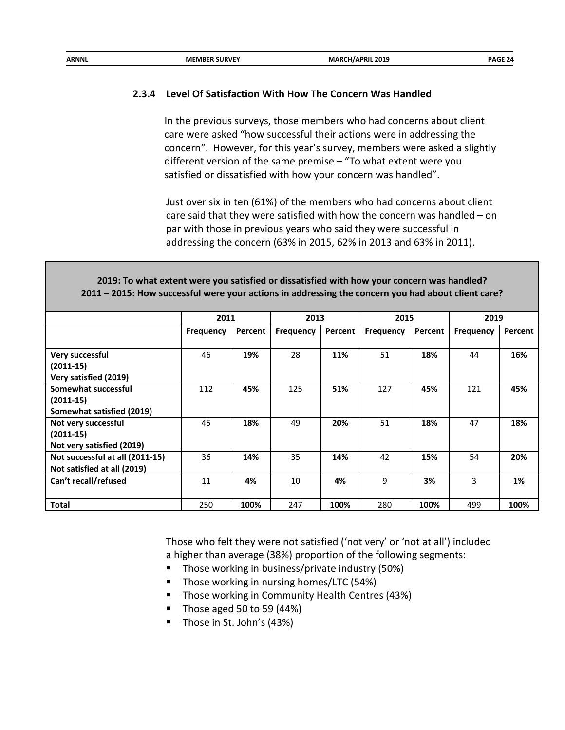| <b>ARNNI</b><br>CH/APRIL 2019<br><b>MARCI</b><br><b>MEMBER SURVEY</b><br>$\sim$ $\sim$ | SF 24<br>PAGL - |
|----------------------------------------------------------------------------------------|-----------------|
|----------------------------------------------------------------------------------------|-----------------|

## **2.3.4 Level Of Satisfaction With How The Concern Was Handled**

In the previous surveys, those members who had concerns about client care were asked "how successful their actions were in addressing the concern". However, for this year's survey, members were asked a slightly different version of the same premise – "To what extent were you satisfied or dissatisfied with how your concern was handled".

Just over six in ten (61%) of the members who had concerns about client care said that they were satisfied with how the concern was handled – on par with those in previous years who said they were successful in addressing the concern (63% in 2015, 62% in 2013 and 63% in 2011).

#### **2019: To what extent were you satisfied or dissatisfied with how your concern was handled? 2011 – 2015: How successful were your actions in addressing the concern you had about client care?**

|                                 | 2011             |         | 2013             |         | 2015             |         | 2019             |         |
|---------------------------------|------------------|---------|------------------|---------|------------------|---------|------------------|---------|
|                                 | <b>Frequency</b> | Percent | <b>Frequency</b> | Percent | <b>Frequency</b> | Percent | <b>Frequency</b> | Percent |
|                                 |                  |         |                  |         |                  |         |                  |         |
| Very successful                 | 46               | 19%     | 28               | 11%     | 51               | 18%     | 44               | 16%     |
| $(2011-15)$                     |                  |         |                  |         |                  |         |                  |         |
| Very satisfied (2019)           |                  |         |                  |         |                  |         |                  |         |
| Somewhat successful             | 112              | 45%     | 125              | 51%     | 127              | 45%     | 121              | 45%     |
| $(2011-15)$                     |                  |         |                  |         |                  |         |                  |         |
| Somewhat satisfied (2019)       |                  |         |                  |         |                  |         |                  |         |
| Not very successful             | 45               | 18%     | 49               | 20%     | 51               | 18%     | 47               | 18%     |
| $(2011-15)$                     |                  |         |                  |         |                  |         |                  |         |
| Not very satisfied (2019)       |                  |         |                  |         |                  |         |                  |         |
| Not successful at all (2011-15) | 36               | 14%     | 35               | 14%     | 42               | 15%     | 54               | 20%     |
| Not satisfied at all (2019)     |                  |         |                  |         |                  |         |                  |         |
| Can't recall/refused            | 11               | 4%      | 10               | 4%      | 9                | 3%      | 3                | 1%      |
|                                 |                  |         |                  |         |                  |         |                  |         |
| <b>Total</b>                    | 250              | 100%    | 247              | 100%    | 280              | 100%    | 499              | 100%    |

Those who felt they were not satisfied ('not very' or 'not at all') included a higher than average (38%) proportion of the following segments:

- Those working in business/private industry (50%)
- **Those working in nursing homes/LTC (54%)**
- Those working in Community Health Centres (43%)
- Those aged 50 to 59  $(44%)$
- Those in St. John's (43%)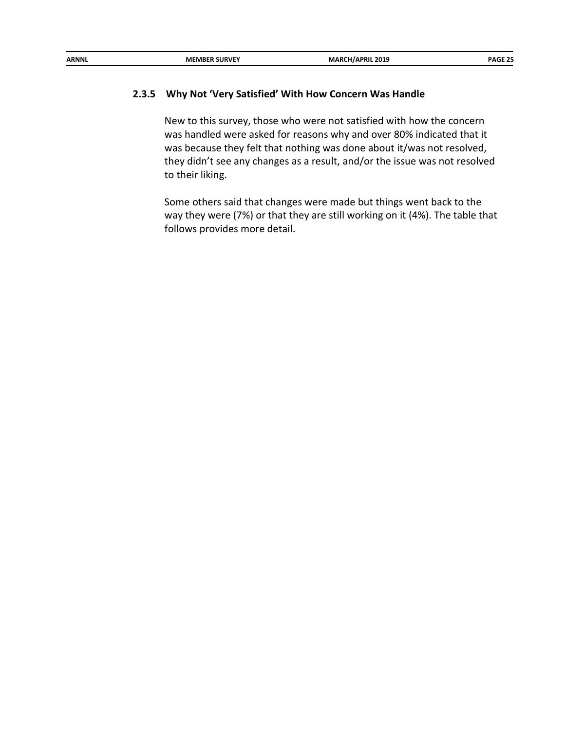| <b>ARNNL</b> | <b>MEMBER SURVEY</b> | <b>MARCH/APRIL 2019</b> | <b>PAGE 25</b> |
|--------------|----------------------|-------------------------|----------------|
|              |                      |                         |                |

#### **2.3.5 Why Not 'Very Satisfied' With How Concern Was Handle**

New to this survey, those who were not satisfied with how the concern was handled were asked for reasons why and over 80% indicated that it was because they felt that nothing was done about it/was not resolved, they didn't see any changes as a result, and/or the issue was not resolved to their liking.

Some others said that changes were made but things went back to the way they were (7%) or that they are still working on it (4%). The table that follows provides more detail.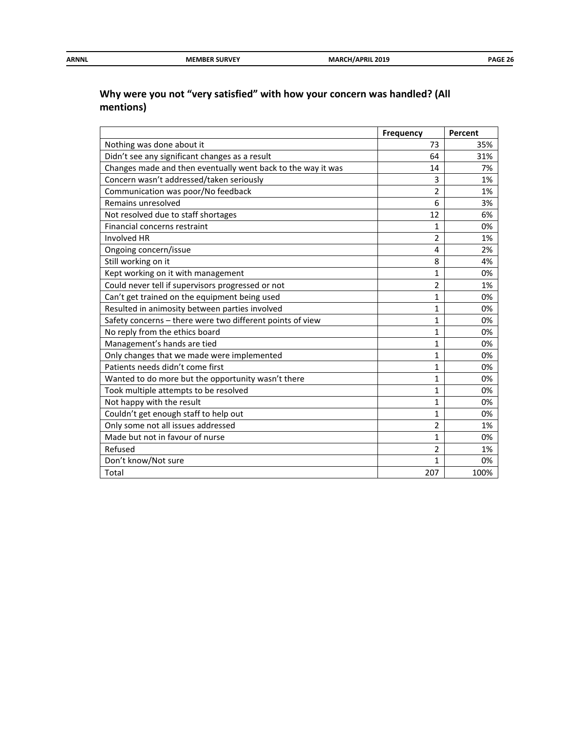| ARNNL | <b>MEMBER SURVEY</b> | MARCI<br><b>/APRIL 2019</b><br>___ | ----<br>OAG.<br>_______ |
|-------|----------------------|------------------------------------|-------------------------|
|       |                      |                                    |                         |

# **Why were you not "very satisfied" with how your concern was handled? (All mentions)**

|                                                              | <b>Frequency</b> | Percent |
|--------------------------------------------------------------|------------------|---------|
| Nothing was done about it                                    | 73               | 35%     |
| Didn't see any significant changes as a result               | 64               | 31%     |
| Changes made and then eventually went back to the way it was | 14               | 7%      |
| Concern wasn't addressed/taken seriously                     | 3                | 1%      |
| Communication was poor/No feedback                           | $\overline{2}$   | 1%      |
| Remains unresolved                                           | 6                | 3%      |
| Not resolved due to staff shortages                          | 12               | 6%      |
| Financial concerns restraint                                 | 1                | 0%      |
| <b>Involved HR</b>                                           | $\overline{2}$   | 1%      |
| Ongoing concern/issue                                        | 4                | 2%      |
| Still working on it                                          | 8                | 4%      |
| Kept working on it with management                           | $\mathbf{1}$     | 0%      |
| Could never tell if supervisors progressed or not            | $\overline{2}$   | 1%      |
| Can't get trained on the equipment being used                | 1                | 0%      |
| Resulted in animosity between parties involved               | $\mathbf{1}$     | 0%      |
| Safety concerns - there were two different points of view    | 1                | 0%      |
| No reply from the ethics board                               | $\mathbf{1}$     | 0%      |
| Management's hands are tied                                  | 1                | 0%      |
| Only changes that we made were implemented                   | $\mathbf{1}$     | 0%      |
| Patients needs didn't come first                             | $\mathbf{1}$     | 0%      |
| Wanted to do more but the opportunity wasn't there           | $\mathbf{1}$     | 0%      |
| Took multiple attempts to be resolved                        | 1                | 0%      |
| Not happy with the result                                    | 1                | 0%      |
| Couldn't get enough staff to help out                        | $\mathbf{1}$     | 0%      |
| Only some not all issues addressed                           | 2                | 1%      |
| Made but not in favour of nurse                              | 1                | 0%      |
| Refused                                                      | 2                | 1%      |
| Don't know/Not sure                                          | 1                | 0%      |
| Total                                                        | 207              | 100%    |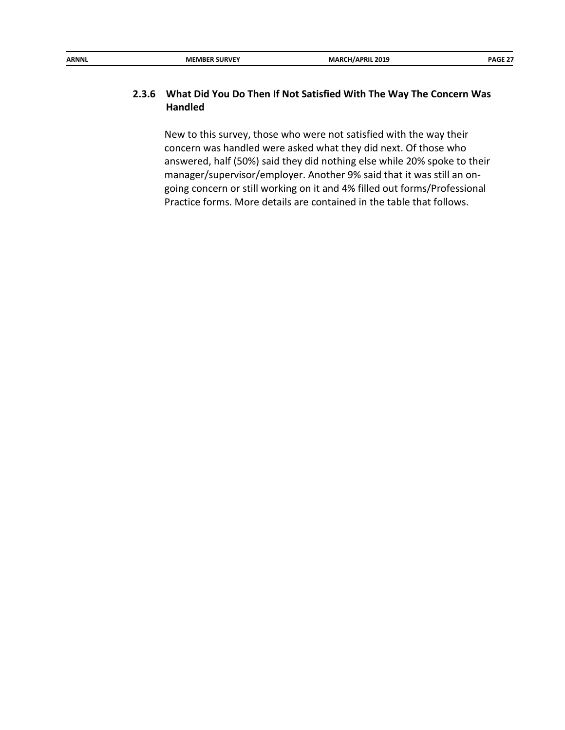| ARNNL | <b>MEMBER SURVEY</b> | <b>MARCH/APRIL 2019</b> | <b>PAGE 27</b> |
|-------|----------------------|-------------------------|----------------|

## **2.3.6 What Did You Do Then If Not Satisfied With The Way The Concern Was Handled**

New to this survey, those who were not satisfied with the way their concern was handled were asked what they did next. Of those who answered, half (50%) said they did nothing else while 20% spoke to their manager/supervisor/employer. Another 9% said that it was still an ongoing concern or still working on it and 4% filled out forms/Professional Practice forms. More details are contained in the table that follows.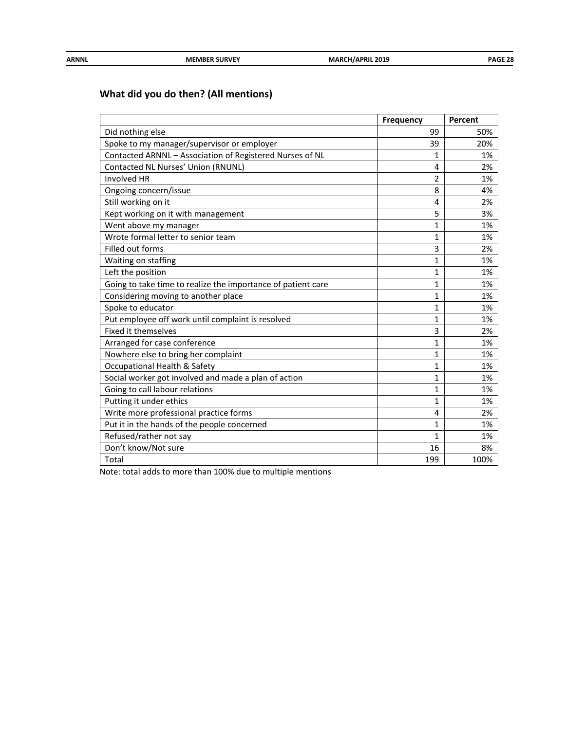| <b>ARNNL</b> | <b>MEMBER SURVEY</b> | <b>MARCH/APRIL 2019</b> | PAGE 28 |
|--------------|----------------------|-------------------------|---------|
|              |                      |                         |         |

# **What did you do then? (All mentions)**

|                                                              | <b>Frequency</b> | Percent |
|--------------------------------------------------------------|------------------|---------|
| Did nothing else                                             | 99               | 50%     |
| Spoke to my manager/supervisor or employer                   | 39               | 20%     |
| Contacted ARNNL - Association of Registered Nurses of NL     | $\mathbf{1}$     | 1%      |
| Contacted NL Nurses' Union (RNUNL)                           | 4                | 2%      |
| Involved HR                                                  | $\overline{2}$   | 1%      |
| Ongoing concern/issue                                        | 8                | 4%      |
| Still working on it                                          | 4                | 2%      |
| Kept working on it with management                           | 5                | 3%      |
| Went above my manager                                        | $\mathbf{1}$     | 1%      |
| Wrote formal letter to senior team                           | 1                | 1%      |
| Filled out forms                                             | 3                | 2%      |
| Waiting on staffing                                          | $\mathbf{1}$     | 1%      |
| Left the position                                            | $\mathbf{1}$     | 1%      |
| Going to take time to realize the importance of patient care | $\mathbf{1}$     | 1%      |
| Considering moving to another place                          | $\mathbf{1}$     | 1%      |
| Spoke to educator                                            | $\mathbf{1}$     | 1%      |
| Put employee off work until complaint is resolved            | $\mathbf{1}$     | 1%      |
| <b>Fixed it themselves</b>                                   | 3                | 2%      |
| Arranged for case conference                                 | $\mathbf{1}$     | 1%      |
| Nowhere else to bring her complaint                          | $\mathbf{1}$     | 1%      |
| Occupational Health & Safety                                 | $\mathbf{1}$     | 1%      |
| Social worker got involved and made a plan of action         | $\mathbf{1}$     | 1%      |
| Going to call labour relations                               | 1                | 1%      |
| Putting it under ethics                                      | 1                | 1%      |
| Write more professional practice forms                       | 4                | 2%      |
| Put it in the hands of the people concerned                  | 1                | 1%      |
| Refused/rather not say                                       | $\mathbf{1}$     | 1%      |
| Don't know/Not sure                                          | 16               | 8%      |
| Total                                                        | 199              | 100%    |

Note: total adds to more than 100% due to multiple mentions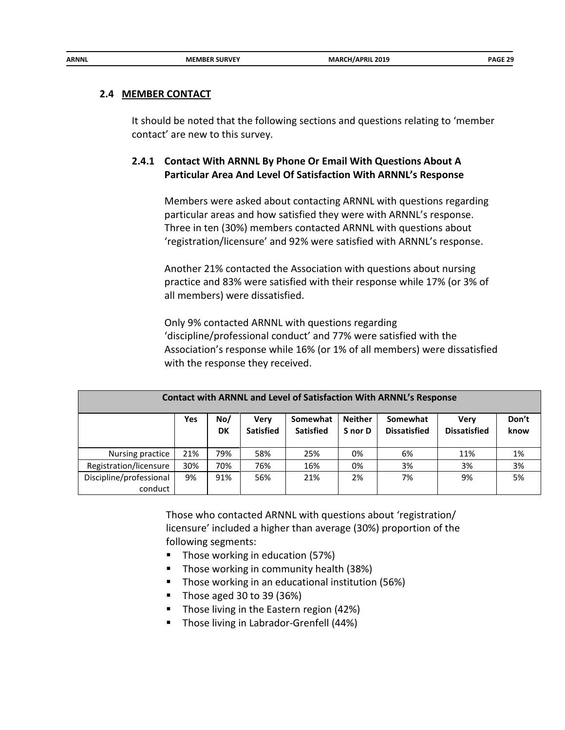#### **2.4 MEMBER CONTACT**

It should be noted that the following sections and questions relating to 'member contact' are new to this survey.

## **2.4.1 Contact With ARNNL By Phone Or Email With Questions About A Particular Area And Level Of Satisfaction With ARNNL's Response**

Members were asked about contacting ARNNL with questions regarding particular areas and how satisfied they were with ARNNL's response. Three in ten (30%) members contacted ARNNL with questions about 'registration/licensure' and 92% were satisfied with ARNNL's response.

Another 21% contacted the Association with questions about nursing practice and 83% were satisfied with their response while 17% (or 3% of all members) were dissatisfied.

Only 9% contacted ARNNL with questions regarding 'discipline/professional conduct' and 77% were satisfied with the Association's response while 16% (or 1% of all members) were dissatisfied with the response they received.

| <b>Contact with ARNNL and Level of Satisfaction With ARNNL's Response</b> |     |           |                          |                              |                           |                                 |                                    |               |
|---------------------------------------------------------------------------|-----|-----------|--------------------------|------------------------------|---------------------------|---------------------------------|------------------------------------|---------------|
|                                                                           | Yes | No/<br>DK | Very<br><b>Satisfied</b> | Somewhat<br><b>Satisfied</b> | <b>Neither</b><br>S nor D | Somewhat<br><b>Dissatisfied</b> | <b>Very</b><br><b>Dissatisfied</b> | Don't<br>know |
| Nursing practice                                                          | 21% | 79%       | 58%                      | 25%                          | 0%                        | 6%                              | 11%                                | 1%            |
| Registration/licensure                                                    | 30% | 70%       | 76%                      | 16%                          | 0%                        | 3%                              | 3%                                 | 3%            |
| Discipline/professional<br>conduct                                        | 9%  | 91%       | 56%                      | 21%                          | 2%                        | 7%                              | 9%                                 | 5%            |

Those who contacted ARNNL with questions about 'registration/ licensure' included a higher than average (30%) proportion of the following segments:

- Those working in education (57%)
- Those working in community health (38%)
- **Those working in an educational institution (56%)**
- Those aged 30 to 39 (36%)
- Those living in the Eastern region (42%)
- **Those living in Labrador-Grenfell (44%)**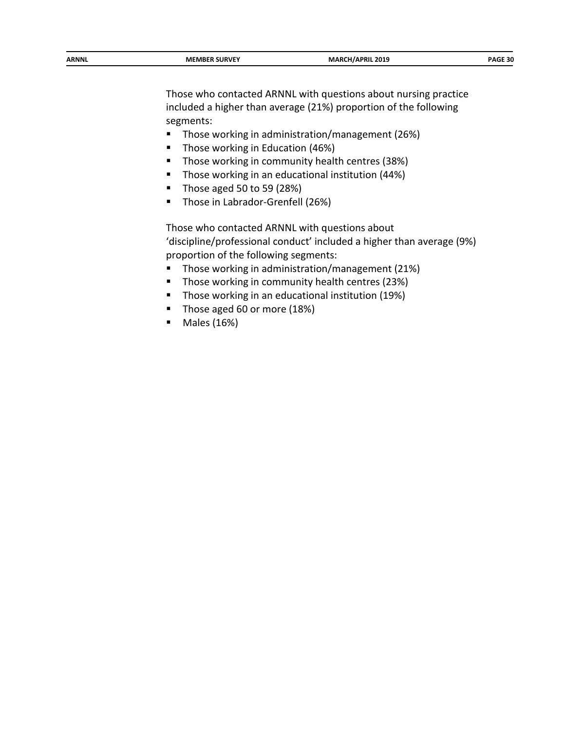| ARNNL | <b>MEMBER SURVEY</b> | MARCI<br>CH/APRIL 2019<br>__ | חכ המו<br>DAG.<br>יו ב-<br>_____ |
|-------|----------------------|------------------------------|----------------------------------|
|       |                      |                              |                                  |

Those who contacted ARNNL with questions about nursing practice included a higher than average (21%) proportion of the following segments:

- Those working in administration/management (26%)
- **Those working in Education (46%)**
- **Those working in community health centres (38%)**
- **Those working in an educational institution (44%)**
- $\blacksquare$  Those aged 50 to 59 (28%)
- **Those in Labrador-Grenfell (26%)**

Those who contacted ARNNL with questions about 'discipline/professional conduct' included a higher than average (9%) proportion of the following segments:

- **Those working in administration/management (21%)**
- **Those working in community health centres (23%)**
- **Those working in an educational institution (19%)**
- Those aged 60 or more (18%)
- Males (16%)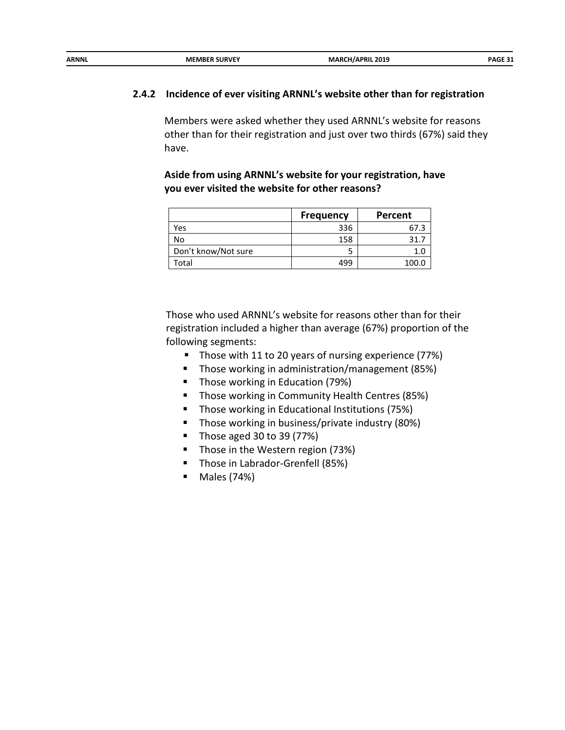| ARNNL | <b>MEMBER SURVEY</b> | CH/APRIL 2019<br>MARC' |        |
|-------|----------------------|------------------------|--------|
|       |                      |                        | DAGE ? |

#### **2.4.2 Incidence of ever visiting ARNNL's website other than for registration**

Members were asked whether they used ARNNL's website for reasons other than for their registration and just over two thirds (67%) said they have.

**Aside from using ARNNL's website for your registration, have you ever visited the website for other reasons?**

|                     | <b>Frequency</b> | Percent |
|---------------------|------------------|---------|
| Yes                 | 336              | 67.3    |
| No                  | 158              | 31.1    |
| Don't know/Not sure |                  |         |
| Total               | 499              | 100.0   |

Those who used ARNNL's website for reasons other than for their registration included a higher than average (67%) proportion of the following segments:

- Those with 11 to 20 years of nursing experience (77%)
- Those working in administration/management (85%)
- **Those working in Education (79%)**
- **Those working in Community Health Centres (85%)**
- **Those working in Educational Institutions (75%)**
- **Those working in business/private industry (80%)**
- Those aged 30 to 39  $(77%)$
- Those in the Western region (73%)
- **Those in Labrador-Grenfell (85%)**
- Males (74%)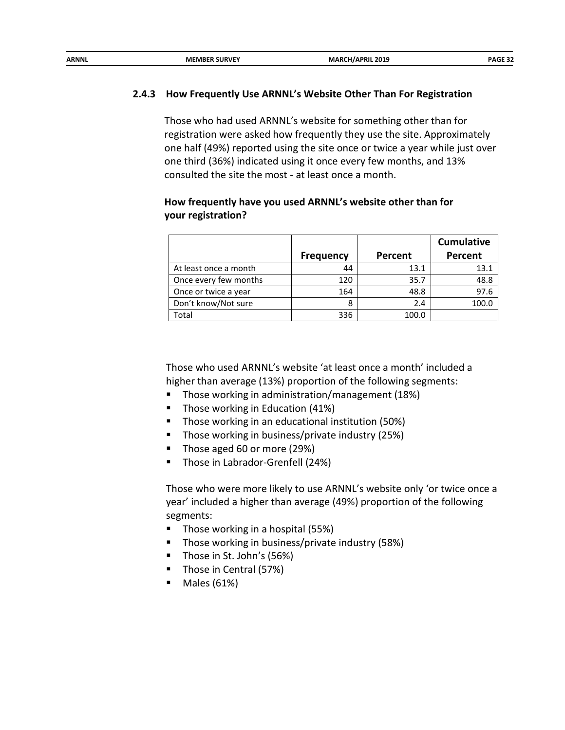| ARNNL | <b>MEMBER SURVEY</b> | MARCI<br>H/APRIL 2019:<br>$-$ | DAGE 27 |
|-------|----------------------|-------------------------------|---------|
|       |                      |                               |         |

#### **2.4.3 How Frequently Use ARNNL's Website Other Than For Registration**

Those who had used ARNNL's website for something other than for registration were asked how frequently they use the site. Approximately one half (49%) reported using the site once or twice a year while just over one third (36%) indicated using it once every few months, and 13% consulted the site the most - at least once a month.

#### **How frequently have you used ARNNL's website other than for your registration?**

|                       |                  |         | <b>Cumulative</b> |
|-----------------------|------------------|---------|-------------------|
|                       | <b>Frequency</b> | Percent | Percent           |
| At least once a month | 44               | 13.1    | 13.1              |
| Once every few months | 120              | 35.7    | 48.8              |
| Once or twice a year  | 164              | 48.8    | 97.6              |
| Don't know/Not sure   | 8                | 2.4     | 100.0             |
| Total                 | 336              | 100.0   |                   |

Those who used ARNNL's website 'at least once a month' included a higher than average (13%) proportion of the following segments:

- **Those working in administration/management (18%)**
- Those working in Education (41%)
- **Those working in an educational institution (50%)**
- **Those working in business/private industry (25%)**
- Those aged 60 or more (29%)
- **Those in Labrador-Grenfell (24%)**

Those who were more likely to use ARNNL's website only 'or twice once a year' included a higher than average (49%) proportion of the following segments:

- $\blacksquare$  Those working in a hospital (55%)
- **Those working in business/private industry (58%)**
- Those in St. John's (56%)
- **Those in Central (57%)**
- $\blacksquare$  Males (61%)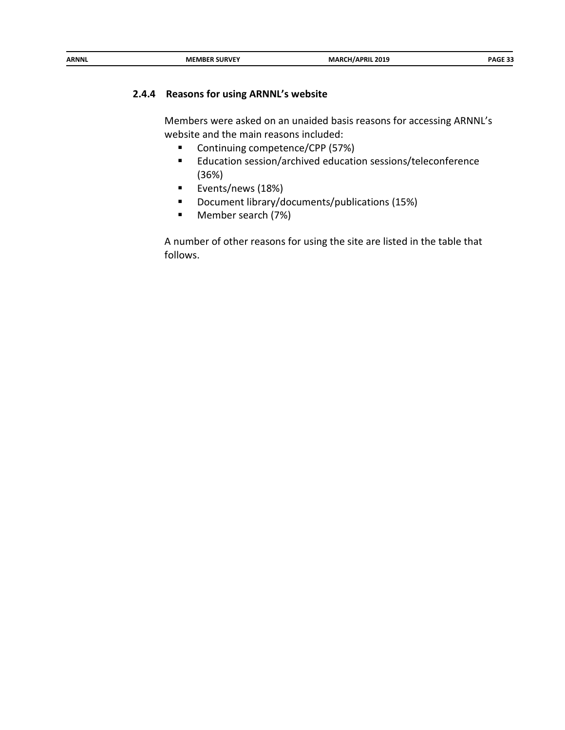| ARNNL | <b>MEMBER SURVEY</b> | <b>MARCH/APRIL 2019</b><br>___ | PAGE 33 |
|-------|----------------------|--------------------------------|---------|
|       |                      |                                |         |

## **2.4.4 Reasons for using ARNNL's website**

Members were asked on an unaided basis reasons for accessing ARNNL's website and the main reasons included:

- Continuing competence/CPP (57%)
- Education session/archived education sessions/teleconference (36%)
- **Exents/news (18%)**
- Document library/documents/publications (15%)
- Member search (7%)

A number of other reasons for using the site are listed in the table that follows.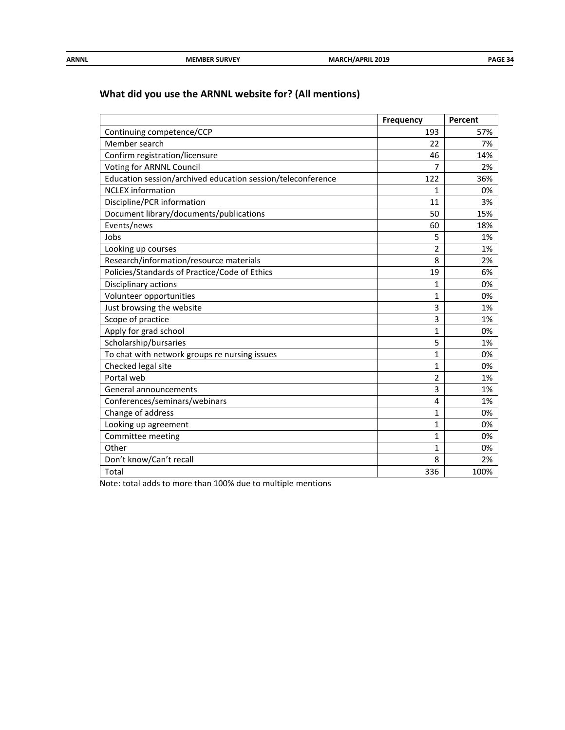| ARNNL | <b>MEMBER SURVEY</b> | MARCH<br>CH/APRIL 2019<br>______ | GF 34<br>PAG∟ |
|-------|----------------------|----------------------------------|---------------|
|       |                      |                                  |               |

# **What did you use the ARNNL website for? (All mentions)**

|                                                             | <b>Frequency</b> | Percent |
|-------------------------------------------------------------|------------------|---------|
| Continuing competence/CCP                                   | 193              | 57%     |
| Member search                                               | 22               | 7%      |
| Confirm registration/licensure                              | 46               | 14%     |
| Voting for ARNNL Council                                    | 7                | 2%      |
| Education session/archived education session/teleconference | 122              | 36%     |
| <b>NCLEX</b> information                                    | $\mathbf{1}$     | 0%      |
| Discipline/PCR information                                  | 11               | 3%      |
| Document library/documents/publications                     | 50               | 15%     |
| Events/news                                                 | 60               | 18%     |
| Jobs                                                        | 5                | 1%      |
| Looking up courses                                          | $\overline{2}$   | 1%      |
| Research/information/resource materials                     | 8                | 2%      |
| Policies/Standards of Practice/Code of Ethics               | 19               | 6%      |
| Disciplinary actions                                        | $\mathbf{1}$     | 0%      |
| Volunteer opportunities                                     | $\mathbf{1}$     | 0%      |
| Just browsing the website                                   | 3                | 1%      |
| Scope of practice                                           | 3                | 1%      |
| Apply for grad school                                       | $\mathbf{1}$     | 0%      |
| Scholarship/bursaries                                       | 5                | 1%      |
| To chat with network groups re nursing issues               | $\mathbf{1}$     | 0%      |
| Checked legal site                                          | $\mathbf{1}$     | 0%      |
| Portal web                                                  | $\overline{2}$   | 1%      |
| General announcements                                       | 3                | 1%      |
| Conferences/seminars/webinars                               | 4                | 1%      |
| Change of address                                           | $\mathbf{1}$     | 0%      |
| Looking up agreement                                        | $\mathbf{1}$     | 0%      |
| Committee meeting                                           | 1                | 0%      |
| Other                                                       | $\mathbf{1}$     | 0%      |
| Don't know/Can't recall                                     | 8                | 2%      |
| Total                                                       | 336              | 100%    |

Note: total adds to more than 100% due to multiple mentions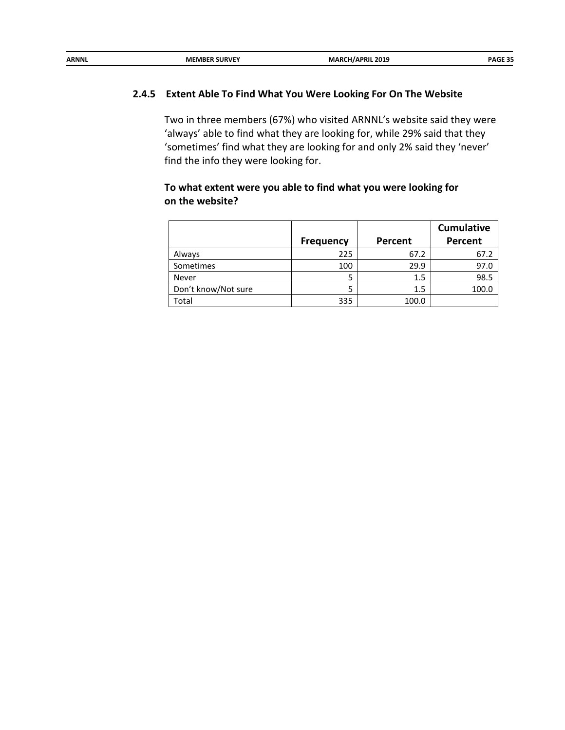| ARNNL | <b>MEMBER SURVEY</b> | <b>MARCH/APRIL 2019</b> | <b>PAGE 35</b> |
|-------|----------------------|-------------------------|----------------|
|       |                      |                         |                |

#### **2.4.5 Extent Able To Find What You Were Looking For On The Website**

Two in three members (67%) who visited ARNNL's website said they were 'always' able to find what they are looking for, while 29% said that they 'sometimes' find what they are looking for and only 2% said they 'never' find the info they were looking for.

## **To what extent were you able to find what you were looking for on the website?**

|                     |                  |         | <b>Cumulative</b> |
|---------------------|------------------|---------|-------------------|
|                     | <b>Frequency</b> | Percent | Percent           |
| Always              | 225              | 67.2    | 67.2              |
| Sometimes           | 100              | 29.9    | 97.0              |
| Never               |                  | 1.5     | 98.5              |
| Don't know/Not sure |                  | 1.5     | 100.0             |
| Total               | 335              | 100.0   |                   |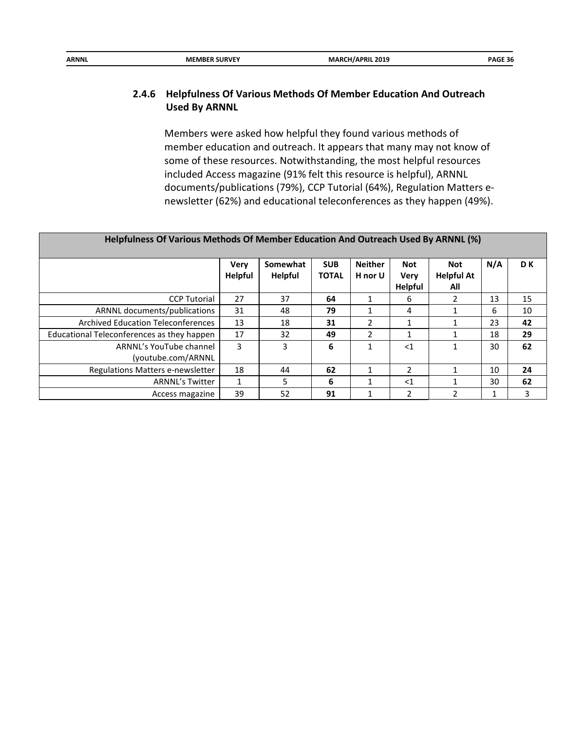| <b>ARNNL</b> | . SURVEY<br><b>MEMBER</b> | 2019<br>/APRIL | ----<br>ግ ሊ.<br>. 50 |
|--------------|---------------------------|----------------|----------------------|
|              |                           |                |                      |

## **2.4.6 Helpfulness Of Various Methods Of Member Education And Outreach Used By ARNNL**

Members were asked how helpful they found various methods of member education and outreach. It appears that many may not know of some of these resources. Notwithstanding, the most helpful resources included Access magazine (91% felt this resource is helpful), ARNNL documents/publications (79%), CCP Tutorial (64%), Regulation Matters enewsletter (62%) and educational teleconferences as they happen (49%).

| Helpfulness Of Various Methods Of Member Education And Outreach Used By ARNNL (%) |                               |                            |                            |                           |                                             |                                        |     |     |
|-----------------------------------------------------------------------------------|-------------------------------|----------------------------|----------------------------|---------------------------|---------------------------------------------|----------------------------------------|-----|-----|
|                                                                                   | <b>Very</b><br><b>Helpful</b> | Somewhat<br><b>Helpful</b> | <b>SUB</b><br><b>TOTAL</b> | <b>Neither</b><br>H nor U | <b>Not</b><br><b>Very</b><br><b>Helpful</b> | <b>Not</b><br><b>Helpful At</b><br>All | N/A | D K |
| <b>CCP Tutorial</b>                                                               | 27                            | 37                         | 64                         |                           | 6                                           | 2                                      | 13  | 15  |
| ARNNL documents/publications                                                      | 31                            | 48                         | 79                         |                           | 4                                           | 1                                      | 6   | 10  |
| <b>Archived Education Teleconferences</b>                                         | 13                            | 18                         | 31                         | $\mathfrak{p}$            | 1                                           | 1                                      | 23  | 42  |
| Educational Teleconferences as they happen                                        | 17                            | 32                         | 49                         | 2                         | 1                                           |                                        | 18  | 29  |
| ARNNL's YouTube channel<br>(youtube.com/ARNNL                                     | 3                             | 3                          | 6                          |                           | $<$ 1                                       | 1                                      | 30  | 62  |
| Regulations Matters e-newsletter                                                  | 18                            | 44                         | 62                         |                           | 2                                           | 1                                      | 10  | 24  |
| <b>ARNNL's Twitter</b>                                                            | $\mathbf{1}$                  | 5                          | 6                          |                           | $<$ 1                                       | 1                                      | 30  | 62  |
| Access magazine                                                                   | 39                            | 52                         | 91                         |                           | $\overline{2}$                              | 2                                      |     | 3   |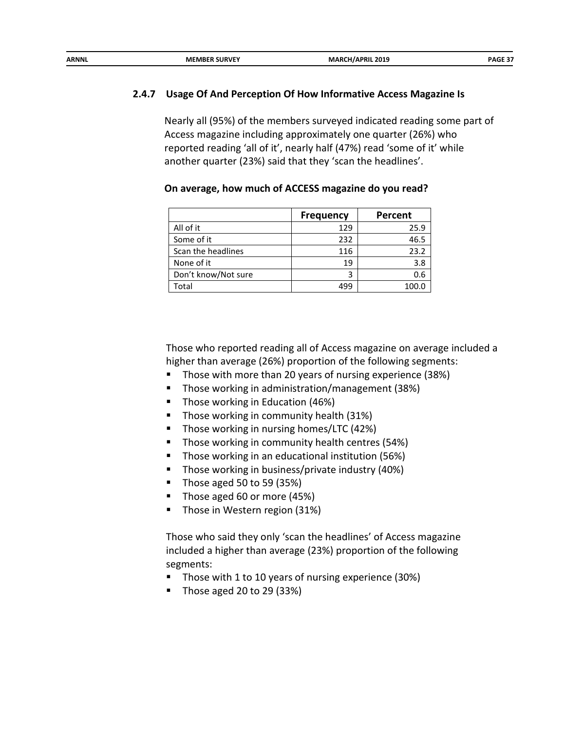| ARNNL | <b>MEMBER SURVEY</b> | <b>MARCH/APRIL 2019</b> | PAGE 37 |
|-------|----------------------|-------------------------|---------|
|       |                      | ______                  |         |
|       |                      |                         |         |

#### **2.4.7 Usage Of And Perception Of How Informative Access Magazine Is**

Nearly all (95%) of the members surveyed indicated reading some part of Access magazine including approximately one quarter (26%) who reported reading 'all of it', nearly half (47%) read 'some of it' while another quarter (23%) said that they 'scan the headlines'.

|                     | <b>Frequency</b> | Percent |
|---------------------|------------------|---------|
| All of it           | 129              | 25.9    |
| Some of it          | 232              | 46.5    |
| Scan the headlines  | 116              | 23.2    |
| None of it          | 19               | 3.8     |
| Don't know/Not sure | 3                | 0.6     |
| Total               | 499              | 100.C   |

**On average, how much of ACCESS magazine do you read?** 

Those who reported reading all of Access magazine on average included a higher than average (26%) proportion of the following segments:

- Those with more than 20 years of nursing experience (38%)
- Those working in administration/management (38%)
- Those working in Education (46%)
- **Those working in community health (31%)**
- Those working in nursing homes/LTC (42%)
- **Those working in community health centres (54%)**
- Those working in an educational institution (56%)
- Those working in business/private industry (40%)
- $\blacksquare$  Those aged 50 to 59 (35%)
- Those aged 60 or more (45%)
- Those in Western region (31%)

Those who said they only 'scan the headlines' of Access magazine included a higher than average (23%) proportion of the following segments:

- Those with 1 to 10 years of nursing experience (30%)
- Those aged 20 to 29 (33%)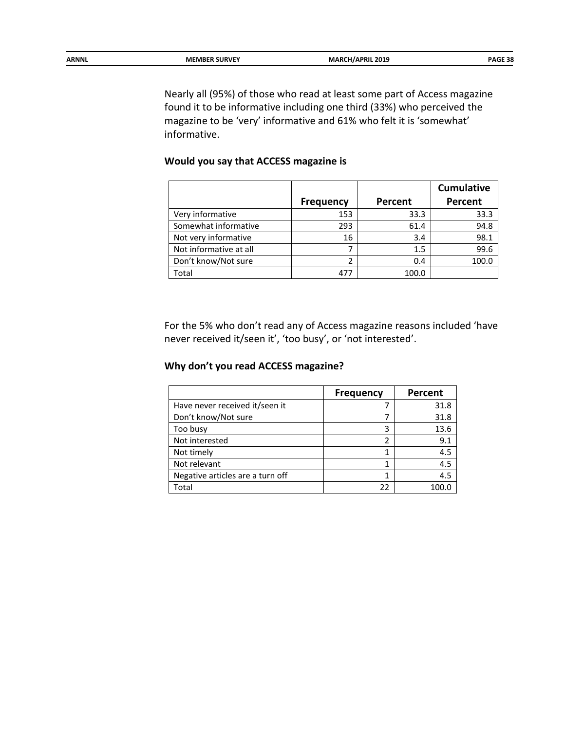| ARNNL | <b>MEMBER SURVEY</b> | <b>MARCH/APRIL 2019</b><br>__ | PAGF 38 |
|-------|----------------------|-------------------------------|---------|
|       |                      |                               |         |

Nearly all (95%) of those who read at least some part of Access magazine found it to be informative including one third (33%) who perceived the magazine to be 'very' informative and 61% who felt it is 'somewhat' informative.

#### **Would you say that ACCESS magazine is**

|                        |                  |         | <b>Cumulative</b> |
|------------------------|------------------|---------|-------------------|
|                        | <b>Frequency</b> | Percent | Percent           |
| Very informative       | 153              | 33.3    | 33.3              |
| Somewhat informative   | 293              | 61.4    | 94.8              |
| Not very informative   | 16               | 3.4     | 98.1              |
| Not informative at all |                  | 1.5     | 99.6              |
| Don't know/Not sure    |                  | 0.4     | 100.0             |
| Total                  | 47'              | 100.0   |                   |

For the 5% who don't read any of Access magazine reasons included 'have never received it/seen it', 'too busy', or 'not interested'.

## **Why don't you read ACCESS magazine?**

|                                  | <b>Frequency</b> | Percent |
|----------------------------------|------------------|---------|
| Have never received it/seen it   |                  | 31.8    |
| Don't know/Not sure              |                  | 31.8    |
| Too busy                         | 3                | 13.6    |
| Not interested                   | 2                | 9.1     |
| Not timely                       |                  | 4.5     |
| Not relevant                     |                  | 4.5     |
| Negative articles are a turn off |                  | 4.5     |
| Total                            | 22               |         |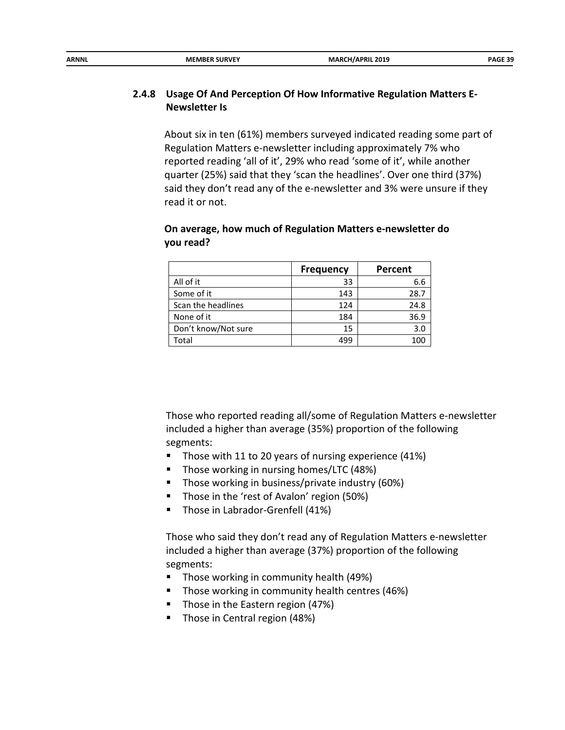| ARNNL | <b>MEMBER SURVEY</b> | MARCI<br>CH/APRIL 2019<br>___ | <b>DAGE 20</b> |
|-------|----------------------|-------------------------------|----------------|
|       |                      |                               |                |

## **2.4.8 Usage Of And Perception Of How Informative Regulation Matters E-Newsletter Is**

About six in ten (61%) members surveyed indicated reading some part of Regulation Matters e-newsletter including approximately 7% who reported reading 'all of it', 29% who read 'some of it', while another quarter (25%) said that they 'scan the headlines'. Over one third (37%) said they don't read any of the e-newsletter and 3% were unsure if they read it or not.

#### **On average, how much of Regulation Matters e-newsletter do you read?**

|                     | <b>Frequency</b> | Percent |
|---------------------|------------------|---------|
| All of it           | 33               | 6.6     |
| Some of it          | 143              | 28.7    |
| Scan the headlines  | 124              | 24.8    |
| None of it          | 184              | 36.9    |
| Don't know/Not sure | 15               | 3.0     |
| Total               | 499              | 100     |

Those who reported reading all/some of Regulation Matters e-newsletter included a higher than average (35%) proportion of the following segments:

- Those with 11 to 20 years of nursing experience (41%)
- Those working in nursing homes/LTC (48%)
- **Those working in business/private industry (60%)**
- Those in the 'rest of Avalon' region (50%)
- **Those in Labrador-Grenfell (41%)**

Those who said they don't read any of Regulation Matters e-newsletter included a higher than average (37%) proportion of the following segments:

- **Those working in community health (49%)**
- **Those working in community health centres (46%)**
- Those in the Eastern region (47%)
- Those in Central region (48%)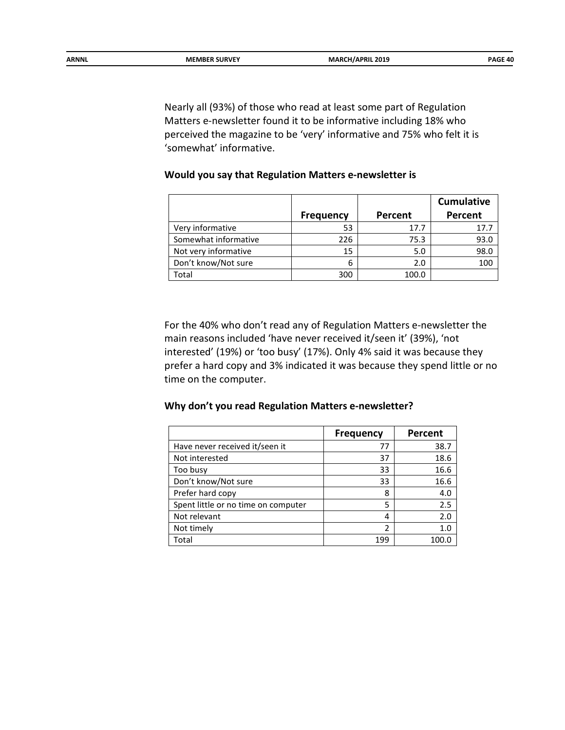| ARNNL | <b>MEMBER SURVEY</b> | <b>MARCH</b><br>/APRIL 2019 | <b>DAGE 40</b> |
|-------|----------------------|-----------------------------|----------------|
|       |                      | ___                         |                |

Nearly all (93%) of those who read at least some part of Regulation Matters e-newsletter found it to be informative including 18% who perceived the magazine to be 'very' informative and 75% who felt it is 'somewhat' informative.

## **Would you say that Regulation Matters e-newsletter is**

|                      |                  |         | <b>Cumulative</b> |
|----------------------|------------------|---------|-------------------|
|                      | <b>Frequency</b> | Percent | Percent           |
| Very informative     | 53               | 17.7    | 17.7              |
| Somewhat informative | 226              | 75.3    | 93.0              |
| Not very informative | 15               | 5.0     | 98.0              |
| Don't know/Not sure  | 6                | 2.0     | 100               |
| Total                | 300              | 100.0   |                   |

For the 40% who don't read any of Regulation Matters e-newsletter the main reasons included 'have never received it/seen it' (39%), 'not interested' (19%) or 'too busy' (17%). Only 4% said it was because they prefer a hard copy and 3% indicated it was because they spend little or no time on the computer.

#### **Why don't you read Regulation Matters e-newsletter?**

|                                     | <b>Frequency</b> | Percent |
|-------------------------------------|------------------|---------|
| Have never received it/seen it      | 77               | 38.7    |
| Not interested                      | 37               | 18.6    |
| Too busy                            | 33               | 16.6    |
| Don't know/Not sure                 | 33               | 16.6    |
| Prefer hard copy                    | 8                | 4.0     |
| Spent little or no time on computer | 5                | 2.5     |
| Not relevant                        | 4                | 2.0     |
| Not timely                          | 2                | 1.0     |
| Total                               | 199              |         |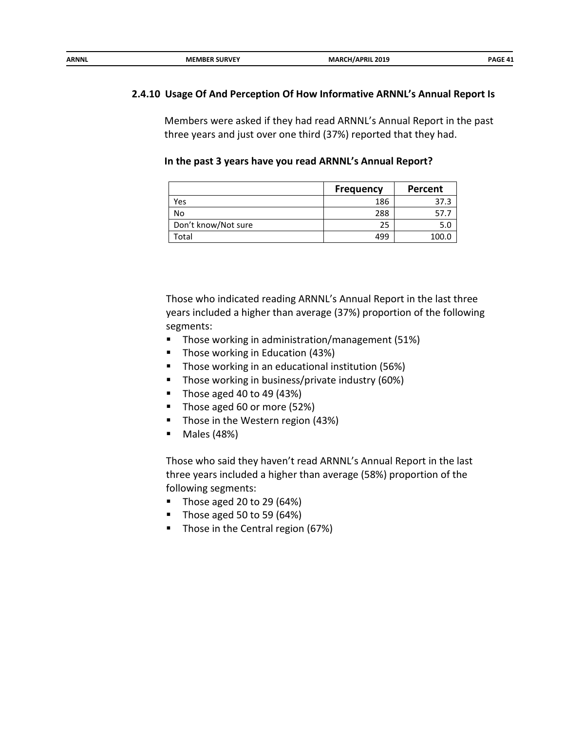| ARNNL | <b>MEMBER SURVEY</b> | MARCI<br><b>1/APRIL 2019</b> | <b>DAGE 41</b><br>−. |
|-------|----------------------|------------------------------|----------------------|
|       |                      |                              |                      |

#### **2.4.10 Usage Of And Perception Of How Informative ARNNL's Annual Report Is**

Members were asked if they had read ARNNL's Annual Report in the past three years and just over one third (37%) reported that they had.

#### **In the past 3 years have you read ARNNL's Annual Report?**

|                     | <b>Frequency</b> | Percent |
|---------------------|------------------|---------|
| Yes                 | 186              | 37.3    |
| No                  | 288              |         |
| Don't know/Not sure | 25               |         |
| Total               | 499              | 100.0   |

Those who indicated reading ARNNL's Annual Report in the last three years included a higher than average (37%) proportion of the following segments:

- **Those working in administration/management (51%)**
- **Those working in Education (43%)**
- Those working in an educational institution (56%)
- **Those working in business/private industry (60%)**
- $\blacksquare$  Those aged 40 to 49 (43%)
- Those aged 60 or more (52%)
- **Those in the Western region (43%)**
- Males (48%)

Those who said they haven't read ARNNL's Annual Report in the last three years included a higher than average (58%) proportion of the following segments:

- Those aged 20 to 29  $(64%)$
- Those aged 50 to 59  $(64%)$
- Those in the Central region (67%)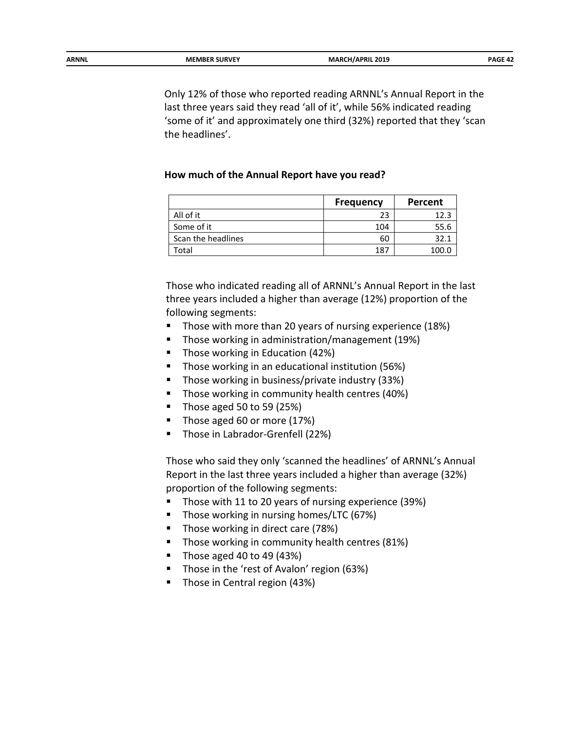Only 12% of those who reported reading ARNNL's Annual Report in the last three years said they read 'all of it', while 56% indicated reading 'some of it' and approximately one third (32%) reported that they 'scan the headlines'.

#### **How much of the Annual Report have you read?**

|                    | <b>Frequency</b> | Percent |
|--------------------|------------------|---------|
| All of it          | 23               | 12.3    |
| Some of it         | 104              | 55.6    |
| Scan the headlines | 60               | 32.1    |
| Total              | 187              | 100.0   |

Those who indicated reading all of ARNNL's Annual Report in the last three years included a higher than average (12%) proportion of the following segments:

- Those with more than 20 years of nursing experience (18%)
- **Those working in administration/management (19%)**
- **Those working in Education (42%)**
- Those working in an educational institution (56%)
- **Those working in business/private industry (33%)**
- Those working in community health centres (40%)
- $\blacksquare$  Those aged 50 to 59 (25%)
- Those aged 60 or more (17%)
- **Those in Labrador-Grenfell (22%)**

Those who said they only 'scanned the headlines' of ARNNL's Annual Report in the last three years included a higher than average (32%) proportion of the following segments:

- Those with 11 to 20 years of nursing experience (39%)
- Those working in nursing homes/LTC (67%)
- Those working in direct care (78%)
- **Those working in community health centres (81%)**
- $\blacksquare$  Those aged 40 to 49 (43%)
- Those in the 'rest of Avalon' region (63%)
- **Those in Central region (43%)**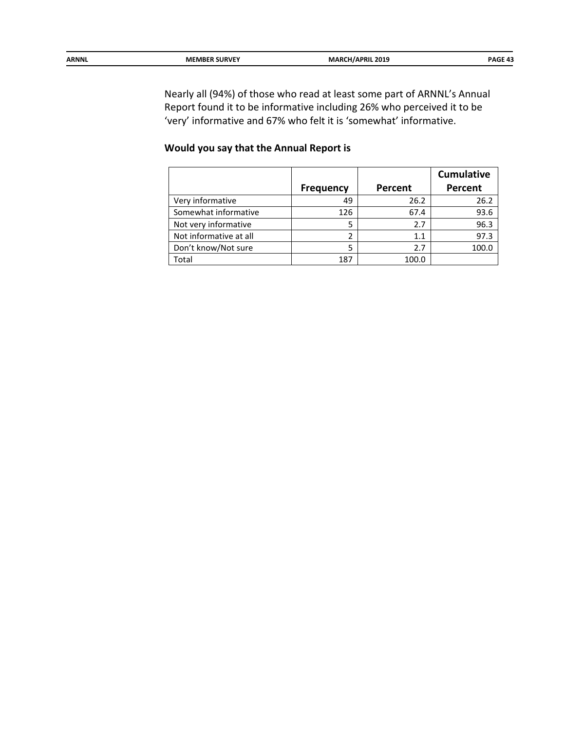| <b>ARNNL</b> | <b>MEMBER SURVEY</b> | \PRIL 2019<br>. .<br>$\sim$ $\sim$ | DAGE AT |
|--------------|----------------------|------------------------------------|---------|
|              |                      |                                    |         |

Nearly all (94%) of those who read at least some part of ARNNL's Annual Report found it to be informative including 26% who perceived it to be 'very' informative and 67% who felt it is 'somewhat' informative.

## **Would you say that the Annual Report is**

|                        |                  |         | <b>Cumulative</b> |
|------------------------|------------------|---------|-------------------|
|                        | <b>Frequency</b> | Percent | Percent           |
| Very informative       | 49               | 26.2    | 26.2              |
| Somewhat informative   | 126              | 67.4    | 93.6              |
| Not very informative   | 5                | 2.7     | 96.3              |
| Not informative at all | 2                | 1.1     | 97.3              |
| Don't know/Not sure    | 5                | 2.7     | 100.0             |
| Total                  | 187              | 100.0   |                   |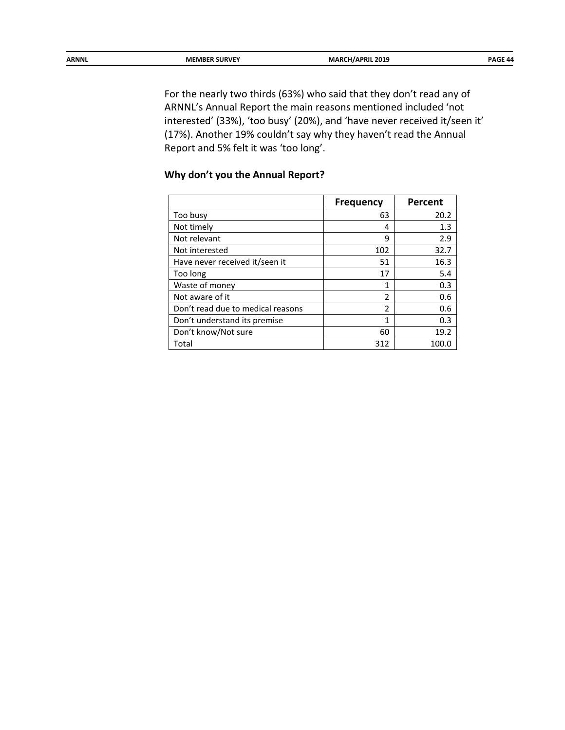| ARNNL | <b>MEMBER SURVEY</b> | <b>MARCH/APRIL 2019</b><br>__ | <b>DAGE AA</b> |
|-------|----------------------|-------------------------------|----------------|
|       |                      |                               |                |

For the nearly two thirds (63%) who said that they don't read any of ARNNL's Annual Report the main reasons mentioned included 'not interested' (33%), 'too busy' (20%), and 'have never received it/seen it' (17%). Another 19% couldn't say why they haven't read the Annual Report and 5% felt it was 'too long'.

## **Why don't you the Annual Report?**

|                                   | <b>Frequency</b> | Percent |
|-----------------------------------|------------------|---------|
| Too busy                          | 63               | 20.2    |
| Not timely                        | 4                | 1.3     |
| Not relevant                      | 9                | 2.9     |
| Not interested                    | 102              | 32.7    |
| Have never received it/seen it    | 51               | 16.3    |
| Too long                          | 17               | 5.4     |
| Waste of money                    | 1                | 0.3     |
| Not aware of it                   | 2                | 0.6     |
| Don't read due to medical reasons | 2                | 0.6     |
| Don't understand its premise      | 1                | 0.3     |
| Don't know/Not sure               | 60               | 19.2    |
| Total                             | 312              | 100.0   |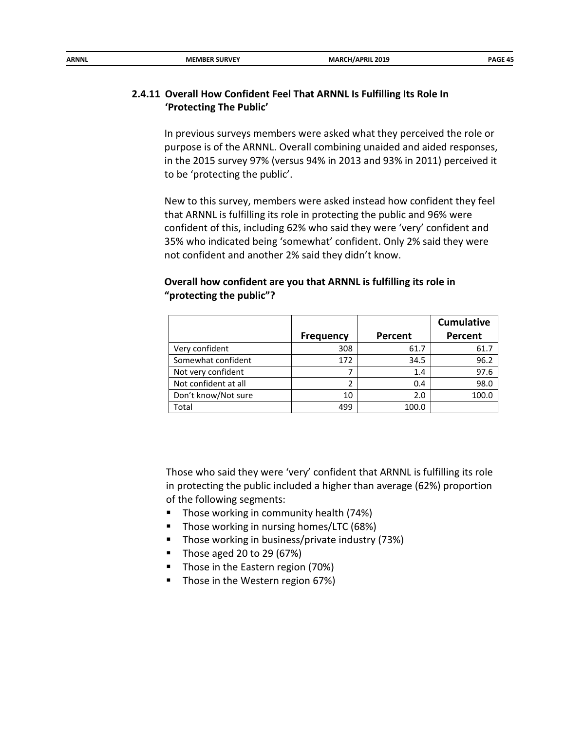| ARNNL | <b>MEMBER SURVEY</b> | <b>MARCH/APRIL 2019</b><br>_______<br>$ -$ | PAGE 45 |
|-------|----------------------|--------------------------------------------|---------|
|       |                      |                                            |         |

### **2.4.11 Overall How Confident Feel That ARNNL Is Fulfilling Its Role In 'Protecting The Public'**

In previous surveys members were asked what they perceived the role or purpose is of the ARNNL. Overall combining unaided and aided responses, in the 2015 survey 97% (versus 94% in 2013 and 93% in 2011) perceived it to be 'protecting the public'.

New to this survey, members were asked instead how confident they feel that ARNNL is fulfilling its role in protecting the public and 96% were confident of this, including 62% who said they were 'very' confident and 35% who indicated being 'somewhat' confident. Only 2% said they were not confident and another 2% said they didn't know.

## **Overall how confident are you that ARNNL is fulfilling its role in "protecting the public"?**

|                      |                  |         | <b>Cumulative</b> |
|----------------------|------------------|---------|-------------------|
|                      | <b>Frequency</b> | Percent | Percent           |
| Very confident       | 308              | 61.7    | 61.7              |
| Somewhat confident   | 172              | 34.5    | 96.2              |
| Not very confident   |                  | 1.4     | 97.6              |
| Not confident at all |                  | 0.4     | 98.0              |
| Don't know/Not sure  | 10               | 2.0     | 100.0             |
| Total                | 499              | 100.0   |                   |

Those who said they were 'very' confident that ARNNL is fulfilling its role in protecting the public included a higher than average (62%) proportion of the following segments:

- **Those working in community health (74%)**
- **Those working in nursing homes/LTC (68%)**
- Those working in business/private industry (73%)
- $\blacksquare$  Those aged 20 to 29 (67%)
- **Those in the Eastern region (70%)**
- Those in the Western region 67%)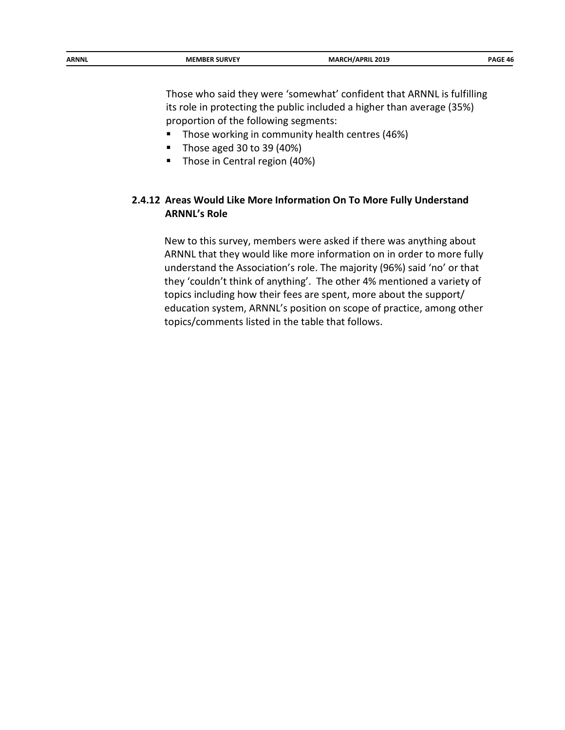Those who said they were 'somewhat' confident that ARNNL is fulfilling its role in protecting the public included a higher than average (35%) proportion of the following segments:

- Those working in community health centres (46%)
- Those aged 30 to 39  $(40%)$
- **Those in Central region (40%)**

## **2.4.12 Areas Would Like More Information On To More Fully Understand ARNNL's Role**

New to this survey, members were asked if there was anything about ARNNL that they would like more information on in order to more fully understand the Association's role. The majority (96%) said 'no' or that they 'couldn't think of anything'. The other 4% mentioned a variety of topics including how their fees are spent, more about the support/ education system, ARNNL's position on scope of practice, among other topics/comments listed in the table that follows.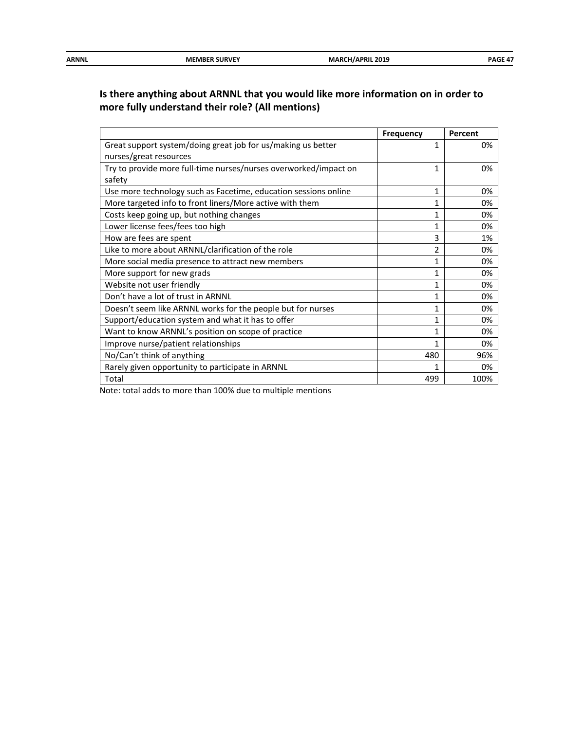| ARNNL | <b>MEMBER SURVEY</b> | <b>MARCH/APRIL 2019</b><br>$ -$ | DAGE 47 |
|-------|----------------------|---------------------------------|---------|
|       |                      |                                 |         |

## **Is there anything about ARNNL that you would like more information on in order to more fully understand their role? (All mentions)**

|                                                                  | <b>Frequency</b> | Percent |
|------------------------------------------------------------------|------------------|---------|
| Great support system/doing great job for us/making us better     | 1                | 0%      |
| nurses/great resources                                           |                  |         |
| Try to provide more full-time nurses/nurses overworked/impact on | 1                | 0%      |
| safety                                                           |                  |         |
| Use more technology such as Facetime, education sessions online  | 1                | 0%      |
| More targeted info to front liners/More active with them         | 1                | 0%      |
| Costs keep going up, but nothing changes                         | 1                | 0%      |
| Lower license fees/fees too high                                 | 1                | 0%      |
| How are fees are spent                                           | 3                | 1%      |
| Like to more about ARNNL/clarification of the role               | 2                | 0%      |
| More social media presence to attract new members                | 1                | 0%      |
| More support for new grads                                       | 1                | 0%      |
| Website not user friendly                                        | 1                | 0%      |
| Don't have a lot of trust in ARNNL                               | 1                | 0%      |
| Doesn't seem like ARNNL works for the people but for nurses      | 1                | 0%      |
| Support/education system and what it has to offer                | 1                | 0%      |
| Want to know ARNNL's position on scope of practice               | 1                | 0%      |
| Improve nurse/patient relationships                              | 1                | 0%      |
| No/Can't think of anything                                       | 480              | 96%     |
| Rarely given opportunity to participate in ARNNL                 |                  | 0%      |
| Total                                                            | 499              | 100%    |

Note: total adds to more than 100% due to multiple mentions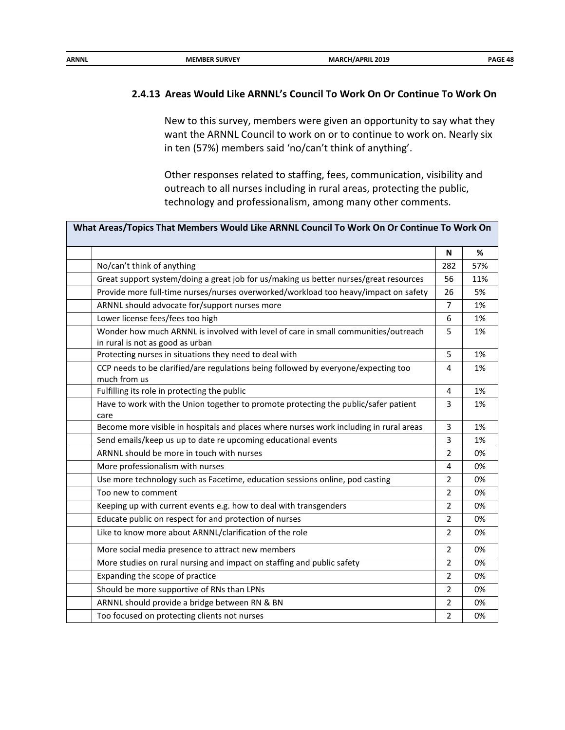| <b>ARNNL</b><br><b>MARCH/APRIL 2019</b><br><b>MEMBER SURVEY</b> |
|-----------------------------------------------------------------|
|-----------------------------------------------------------------|

#### **2.4.13 Areas Would Like ARNNL's Council To Work On Or Continue To Work On**

New to this survey, members were given an opportunity to say what they want the ARNNL Council to work on or to continue to work on. Nearly six in ten (57%) members said 'no/can't think of anything'.

Other responses related to staffing, fees, communication, visibility and outreach to all nurses including in rural areas, protecting the public, technology and professionalism, among many other comments.

| What Areas/Topics That Members Would Like ARNNL Council To Work On Or Continue To Work On                              |                |     |
|------------------------------------------------------------------------------------------------------------------------|----------------|-----|
|                                                                                                                        | N              | %   |
| No/can't think of anything                                                                                             | 282            | 57% |
| Great support system/doing a great job for us/making us better nurses/great resources                                  | 56             | 11% |
| Provide more full-time nurses/nurses overworked/workload too heavy/impact on safety                                    | 26             | 5%  |
| ARNNL should advocate for/support nurses more                                                                          | $\overline{7}$ | 1%  |
| Lower license fees/fees too high                                                                                       | 6              | 1%  |
| Wonder how much ARNNL is involved with level of care in small communities/outreach<br>in rural is not as good as urban | 5              | 1%  |
| Protecting nurses in situations they need to deal with                                                                 | 5              | 1%  |
| CCP needs to be clarified/are regulations being followed by everyone/expecting too<br>much from us                     | 4              | 1%  |
| Fulfilling its role in protecting the public                                                                           | 4              | 1%  |
| Have to work with the Union together to promote protecting the public/safer patient<br>care                            | 3              | 1%  |
| Become more visible in hospitals and places where nurses work including in rural areas                                 | 3              | 1%  |
| Send emails/keep us up to date re upcoming educational events                                                          | 3              | 1%  |
| ARNNL should be more in touch with nurses                                                                              | 2              | 0%  |
| More professionalism with nurses                                                                                       | 4              | 0%  |
| Use more technology such as Facetime, education sessions online, pod casting                                           | $\overline{2}$ | 0%  |
| Too new to comment                                                                                                     | $\overline{2}$ | 0%  |
| Keeping up with current events e.g. how to deal with transgenders                                                      | $\overline{2}$ | 0%  |
| Educate public on respect for and protection of nurses                                                                 | $\overline{2}$ | 0%  |
| Like to know more about ARNNL/clarification of the role                                                                | $\overline{2}$ | 0%  |
| More social media presence to attract new members                                                                      | $\overline{2}$ | 0%  |
| More studies on rural nursing and impact on staffing and public safety                                                 | $\mathcal{P}$  | 0%  |
| Expanding the scope of practice                                                                                        | $\overline{2}$ | 0%  |
| Should be more supportive of RNs than LPNs                                                                             | $\overline{2}$ | 0%  |
| ARNNL should provide a bridge between RN & BN                                                                          | 2              | 0%  |
| Too focused on protecting clients not nurses                                                                           | 2              | 0%  |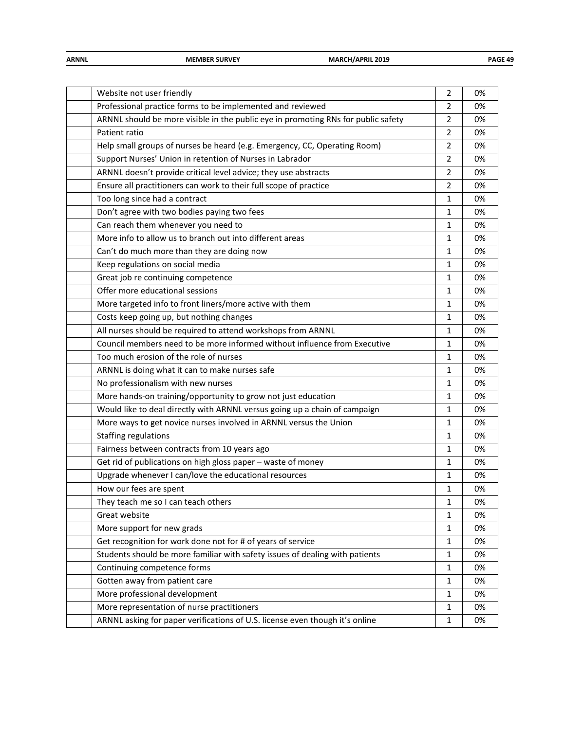| <b>ARNNL</b> | <b>MEMBER SURVEY</b> | <b>MARCH/APRIL 2019</b><br>__ | PAGE 49 |
|--------------|----------------------|-------------------------------|---------|
|              |                      |                               |         |

| Website not user friendly                                                         | $\overline{2}$ | 0% |
|-----------------------------------------------------------------------------------|----------------|----|
| Professional practice forms to be implemented and reviewed                        | 2              | 0% |
| ARNNL should be more visible in the public eye in promoting RNs for public safety | $\overline{2}$ | 0% |
| Patient ratio                                                                     | $\overline{2}$ | 0% |
| Help small groups of nurses be heard (e.g. Emergency, CC, Operating Room)         | 2              | 0% |
| Support Nurses' Union in retention of Nurses in Labrador                          | $\overline{2}$ | 0% |
| ARNNL doesn't provide critical level advice; they use abstracts                   | 2              | 0% |
| Ensure all practitioners can work to their full scope of practice                 | $\overline{2}$ | 0% |
| Too long since had a contract                                                     | 1              | 0% |
| Don't agree with two bodies paying two fees                                       | 1              | 0% |
| Can reach them whenever you need to                                               | 1              | 0% |
| More info to allow us to branch out into different areas                          | $\mathbf{1}$   | 0% |
| Can't do much more than they are doing now                                        | 1              | 0% |
| Keep regulations on social media                                                  | 1              | 0% |
| Great job re continuing competence                                                | 1              | 0% |
| Offer more educational sessions                                                   | 1              | 0% |
| More targeted info to front liners/more active with them                          | 1              | 0% |
| Costs keep going up, but nothing changes                                          | 1              | 0% |
| All nurses should be required to attend workshops from ARNNL                      | 1              | 0% |
| Council members need to be more informed without influence from Executive         | 1              | 0% |
| Too much erosion of the role of nurses                                            | 1              | 0% |
| ARNNL is doing what it can to make nurses safe                                    | 1              | 0% |
| No professionalism with new nurses                                                | 1              | 0% |
| More hands-on training/opportunity to grow not just education                     | 1              | 0% |
| Would like to deal directly with ARNNL versus going up a chain of campaign        | 1              | 0% |
| More ways to get novice nurses involved in ARNNL versus the Union                 | 1              | 0% |
| Staffing regulations                                                              | 1              | 0% |
| Fairness between contracts from 10 years ago                                      | $\mathbf{1}$   | 0% |
| Get rid of publications on high gloss paper - waste of money                      | 1              | 0% |
| Upgrade whenever I can/love the educational resources                             | 1              | 0% |
| How our fees are spent                                                            | 1              | 0% |
| They teach me so I can teach others                                               | 1              | 0% |
| Great website                                                                     | $\mathbf{1}$   | 0% |
| More support for new grads                                                        | 1              | 0% |
| Get recognition for work done not for # of years of service                       | 1              | 0% |
| Students should be more familiar with safety issues of dealing with patients      | 1              | 0% |
| Continuing competence forms                                                       | 1              | 0% |
| Gotten away from patient care                                                     | 1              | 0% |
| More professional development                                                     | 1              | 0% |
| More representation of nurse practitioners                                        | $\mathbf{1}$   | 0% |
| ARNNL asking for paper verifications of U.S. license even though it's online      | 1              | 0% |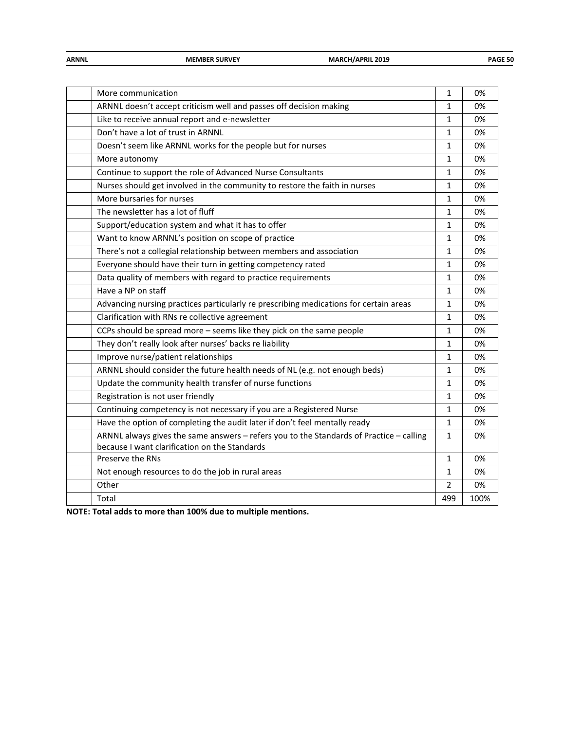| <b>ARNNL</b> | <b>MEMBER SURVEY</b> | <b>MARC'</b><br>CH/APRIL 2019<br>$-$ | <b>PAGE 50</b> |
|--------------|----------------------|--------------------------------------|----------------|
|              |                      |                                      |                |

|                                                                                         | $\mathbf{1}$   |      |
|-----------------------------------------------------------------------------------------|----------------|------|
| More communication                                                                      |                | 0%   |
| ARNNL doesn't accept criticism well and passes off decision making                      | $\mathbf{1}$   | 0%   |
| Like to receive annual report and e-newsletter                                          | $\mathbf{1}$   | 0%   |
| Don't have a lot of trust in ARNNL                                                      | $\mathbf{1}$   | 0%   |
| Doesn't seem like ARNNL works for the people but for nurses                             | $\mathbf{1}$   | 0%   |
| More autonomy                                                                           | $\mathbf{1}$   | 0%   |
| Continue to support the role of Advanced Nurse Consultants                              | $\mathbf{1}$   | 0%   |
| Nurses should get involved in the community to restore the faith in nurses              | $\mathbf{1}$   | 0%   |
| More bursaries for nurses                                                               | $\mathbf{1}$   | 0%   |
| The newsletter has a lot of fluff                                                       | $\mathbf{1}$   | 0%   |
| Support/education system and what it has to offer                                       | $\mathbf{1}$   | 0%   |
| Want to know ARNNL's position on scope of practice                                      | $\mathbf{1}$   | 0%   |
| There's not a collegial relationship between members and association                    | $\mathbf{1}$   | 0%   |
| Everyone should have their turn in getting competency rated                             | $\mathbf{1}$   | 0%   |
| Data quality of members with regard to practice requirements                            | 1              | 0%   |
| Have a NP on staff                                                                      | $\mathbf{1}$   | 0%   |
| Advancing nursing practices particularly re prescribing medications for certain areas   | $\mathbf{1}$   | 0%   |
| Clarification with RNs re collective agreement                                          | $\mathbf{1}$   | 0%   |
| CCPs should be spread more - seems like they pick on the same people                    | $\mathbf{1}$   | 0%   |
| They don't really look after nurses' backs re liability                                 | $\mathbf{1}$   | 0%   |
| Improve nurse/patient relationships                                                     | 1              | 0%   |
| ARNNL should consider the future health needs of NL (e.g. not enough beds)              | $\mathbf{1}$   | 0%   |
| Update the community health transfer of nurse functions                                 | $\mathbf{1}$   | 0%   |
| Registration is not user friendly                                                       | 1              | 0%   |
| Continuing competency is not necessary if you are a Registered Nurse                    | $\mathbf{1}$   | 0%   |
| Have the option of completing the audit later if don't feel mentally ready              | $\mathbf{1}$   | 0%   |
| ARNNL always gives the same answers - refers you to the Standards of Practice - calling | $\mathbf{1}$   | 0%   |
| because I want clarification on the Standards                                           |                |      |
| Preserve the RNs                                                                        | $\mathbf{1}$   | 0%   |
| Not enough resources to do the job in rural areas                                       | $\mathbf{1}$   | 0%   |
| Other                                                                                   | $\overline{2}$ | 0%   |
| Total                                                                                   | 499            | 100% |
|                                                                                         |                |      |

**NOTE: Total adds to more than 100% due to multiple mentions.**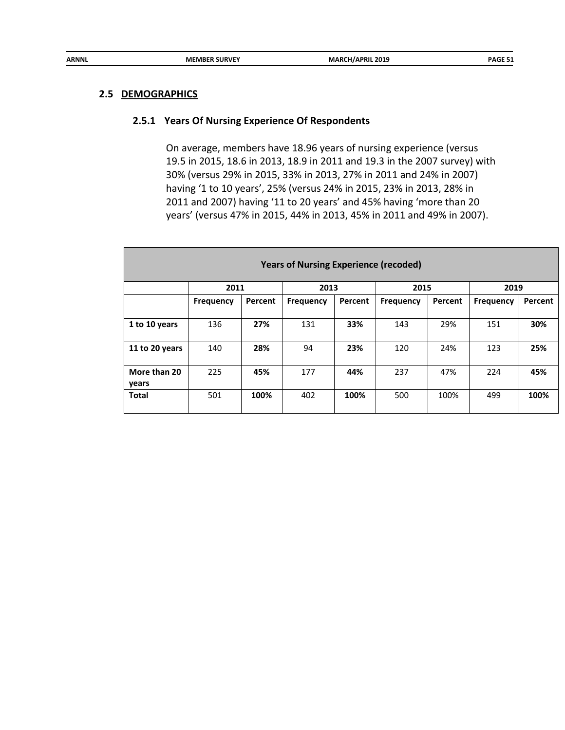#### **2.5 DEMOGRAPHICS**

#### **2.5.1 Years Of Nursing Experience Of Respondents**

On average, members have 18.96 years of nursing experience (versus 19.5 in 2015, 18.6 in 2013, 18.9 in 2011 and 19.3 in the 2007 survey) with 30% (versus 29% in 2015, 33% in 2013, 27% in 2011 and 24% in 2007) having '1 to 10 years', 25% (versus 24% in 2015, 23% in 2013, 28% in 2011 and 2007) having '11 to 20 years' and 45% having 'more than 20 years' (versus 47% in 2015, 44% in 2013, 45% in 2011 and 49% in 2007).

| <b>Years of Nursing Experience (recoded)</b> |                  |         |                  |         |                  |         |           |         |  |
|----------------------------------------------|------------------|---------|------------------|---------|------------------|---------|-----------|---------|--|
|                                              | 2011             |         | 2013             |         | 2015             |         | 2019      |         |  |
|                                              | <b>Frequency</b> | Percent | <b>Frequency</b> | Percent | <b>Frequency</b> | Percent | Frequency | Percent |  |
|                                              |                  |         |                  |         |                  |         |           |         |  |
| 1 to 10 years                                | 136              | 27%     | 131              | 33%     | 143              | 29%     | 151       | 30%     |  |
|                                              |                  |         |                  |         |                  |         |           |         |  |
| 11 to 20 years                               | 140              | 28%     | 94               | 23%     | 120              | 24%     | 123       | 25%     |  |
|                                              |                  |         |                  |         |                  |         |           |         |  |
| More than 20                                 | 225              | 45%     | 177              | 44%     | 237              | 47%     | 224       | 45%     |  |
| years                                        |                  |         |                  |         |                  |         |           |         |  |
| <b>Total</b>                                 | 501              | 100%    | 402              | 100%    | 500              | 100%    | 499       | 100%    |  |
|                                              |                  |         |                  |         |                  |         |           |         |  |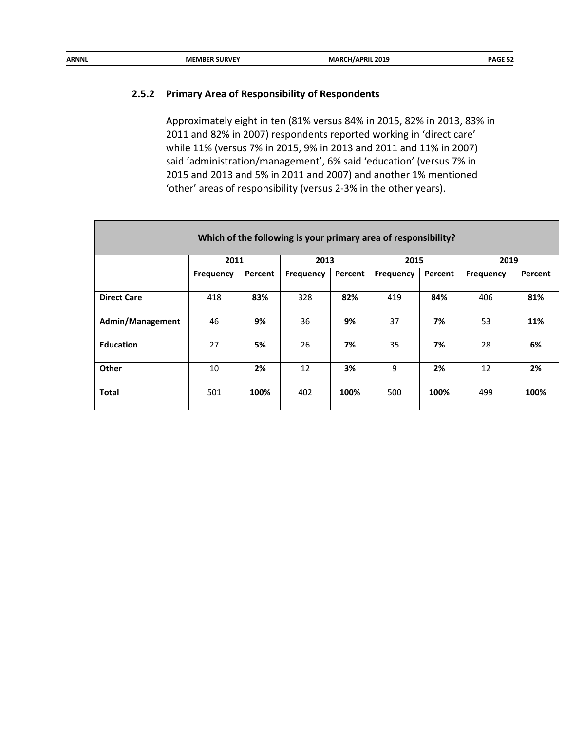| ARNNL<br><b>MARCH/APRIL 2019</b><br><b>MEMBER SURVEY</b> | <b>PAGE 52</b> |
|----------------------------------------------------------|----------------|
|----------------------------------------------------------|----------------|

## **2.5.2 Primary Area of Responsibility of Respondents**

Approximately eight in ten (81% versus 84% in 2015, 82% in 2013, 83% in 2011 and 82% in 2007) respondents reported working in 'direct care' while 11% (versus 7% in 2015, 9% in 2013 and 2011 and 11% in 2007) said 'administration/management', 6% said 'education' (versus 7% in 2015 and 2013 and 5% in 2011 and 2007) and another 1% mentioned 'other' areas of responsibility (versus 2-3% in the other years).

| Which of the following is your primary area of responsibility? |                  |         |           |         |                  |         |           |         |  |
|----------------------------------------------------------------|------------------|---------|-----------|---------|------------------|---------|-----------|---------|--|
|                                                                | 2011             |         | 2013      |         | 2015             |         | 2019      |         |  |
|                                                                | <b>Frequency</b> | Percent | Frequency | Percent | <b>Frequency</b> | Percent | Frequency | Percent |  |
|                                                                |                  |         |           |         |                  |         |           |         |  |
| <b>Direct Care</b>                                             | 418              | 83%     | 328       | 82%     | 419              | 84%     | 406       | 81%     |  |
|                                                                |                  |         |           |         |                  |         |           |         |  |
| <b>Admin/Management</b>                                        | 46               | 9%      | 36        | 9%      | 37               | 7%      | 53        | 11%     |  |
|                                                                |                  |         |           |         |                  |         |           |         |  |
| <b>Education</b>                                               | 27               | 5%      | 26        | 7%      | 35               | 7%      | 28        | 6%      |  |
|                                                                |                  |         |           |         |                  |         |           |         |  |
| Other                                                          | 10               | 2%      | 12        | 3%      | 9                | 2%      | 12        | 2%      |  |
|                                                                |                  |         |           |         |                  |         |           |         |  |
| <b>Total</b>                                                   | 501              | 100%    | 402       | 100%    | 500              | 100%    | 499       | 100%    |  |
|                                                                |                  |         |           |         |                  |         |           |         |  |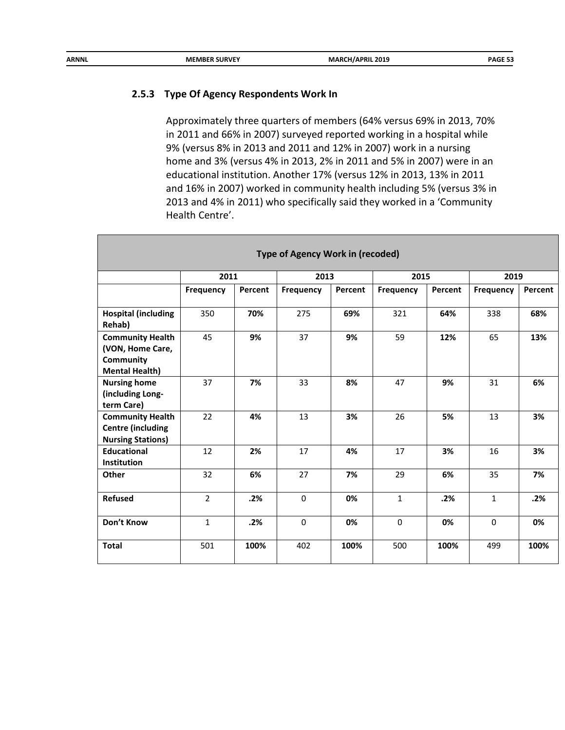| ARNNL<br><b>MARCH/APRIL 2019</b><br><b>MEMBER SURVEY</b><br>___ | PAGE 53 |
|-----------------------------------------------------------------|---------|
|-----------------------------------------------------------------|---------|

#### **2.5.3 Type Of Agency Respondents Work In**

Approximately three quarters of members (64% versus 69% in 2013, 70% in 2011 and 66% in 2007) surveyed reported working in a hospital while 9% (versus 8% in 2013 and 2011 and 12% in 2007) work in a nursing home and 3% (versus 4% in 2013, 2% in 2011 and 5% in 2007) were in an educational institution. Another 17% (versus 12% in 2013, 13% in 2011 and 16% in 2007) worked in community health including 5% (versus 3% in 2013 and 4% in 2011) who specifically said they worked in a 'Community Health Centre'.

|                                                                                          | <b>Type of Agency Work in (recoded)</b> |         |           |         |                  |         |                  |         |  |  |
|------------------------------------------------------------------------------------------|-----------------------------------------|---------|-----------|---------|------------------|---------|------------------|---------|--|--|
|                                                                                          | 2011<br>2013<br>2015                    |         |           |         |                  |         | 2019             |         |  |  |
|                                                                                          | <b>Frequency</b>                        | Percent | Frequency | Percent | <b>Frequency</b> | Percent | <b>Frequency</b> | Percent |  |  |
| <b>Hospital (including</b><br>Rehab)                                                     | 350                                     | 70%     | 275       | 69%     | 321              | 64%     | 338              | 68%     |  |  |
| <b>Community Health</b><br>(VON, Home Care,<br><b>Community</b><br><b>Mental Health)</b> | 45                                      | 9%      | 37        | 9%      | 59               | 12%     | 65               | 13%     |  |  |
| <b>Nursing home</b><br>(including Long-<br>term Care)                                    | 37                                      | 7%      | 33        | 8%      | 47               | 9%      | 31               | 6%      |  |  |
| <b>Community Health</b><br><b>Centre (including</b><br><b>Nursing Stations)</b>          | 22                                      | 4%      | 13        | 3%      | 26               | 5%      | 13               | 3%      |  |  |
| <b>Educational</b><br>Institution                                                        | 12                                      | 2%      | 17        | 4%      | 17               | 3%      | 16               | 3%      |  |  |
| <b>Other</b>                                                                             | 32                                      | 6%      | 27        | 7%      | 29               | 6%      | 35               | 7%      |  |  |
| <b>Refused</b>                                                                           | $\overline{2}$                          | .2%     | $\Omega$  | 0%      | $\mathbf{1}$     | .2%     | $\mathbf{1}$     | .2%     |  |  |
| Don't Know                                                                               | $\mathbf{1}$                            | .2%     | $\Omega$  | 0%      | $\mathbf 0$      | 0%      | $\Omega$         | 0%      |  |  |
| <b>Total</b>                                                                             | 501                                     | 100%    | 402       | 100%    | 500              | 100%    | 499              | 100%    |  |  |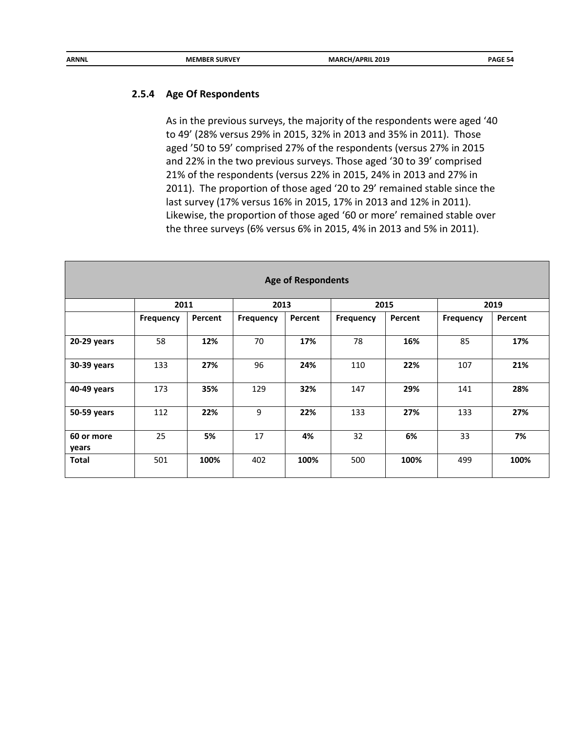#### **2.5.4 Age Of Respondents**

As in the previous surveys, the majority of the respondents were aged '40 to 49' (28% versus 29% in 2015, 32% in 2013 and 35% in 2011). Those aged '50 to 59' comprised 27% of the respondents (versus 27% in 2015 and 22% in the two previous surveys. Those aged '30 to 39' comprised 21% of the respondents (versus 22% in 2015, 24% in 2013 and 27% in 2011). The proportion of those aged '20 to 29' remained stable since the last survey (17% versus 16% in 2015, 17% in 2013 and 12% in 2011). Likewise, the proportion of those aged '60 or more' remained stable over the three surveys (6% versus 6% in 2015, 4% in 2013 and 5% in 2011).

| <b>Age of Respondents</b> |                  |         |                  |         |           |         |                  |         |  |
|---------------------------|------------------|---------|------------------|---------|-----------|---------|------------------|---------|--|
|                           | 2011             |         | 2013             |         |           | 2015    | 2019             |         |  |
|                           | <b>Frequency</b> | Percent | <b>Frequency</b> | Percent | Frequency | Percent | <b>Frequency</b> | Percent |  |
|                           |                  |         |                  |         |           |         |                  |         |  |
| 20-29 years               | 58               | 12%     | 70               | 17%     | 78        | 16%     | 85               | 17%     |  |
| 30-39 years               | 133              | 27%     | 96               | 24%     | 110       | 22%     | 107              | 21%     |  |
| 40-49 years               | 173              | 35%     | 129              | 32%     | 147       | 29%     | 141              | 28%     |  |
| 50-59 years               | 112              | 22%     | 9                | 22%     | 133       | 27%     | 133              | 27%     |  |
| 60 or more<br>years       | 25               | 5%      | 17               | 4%      | 32        | 6%      | 33               | 7%      |  |
| <b>Total</b>              | 501              | 100%    | 402              | 100%    | 500       | 100%    | 499              | 100%    |  |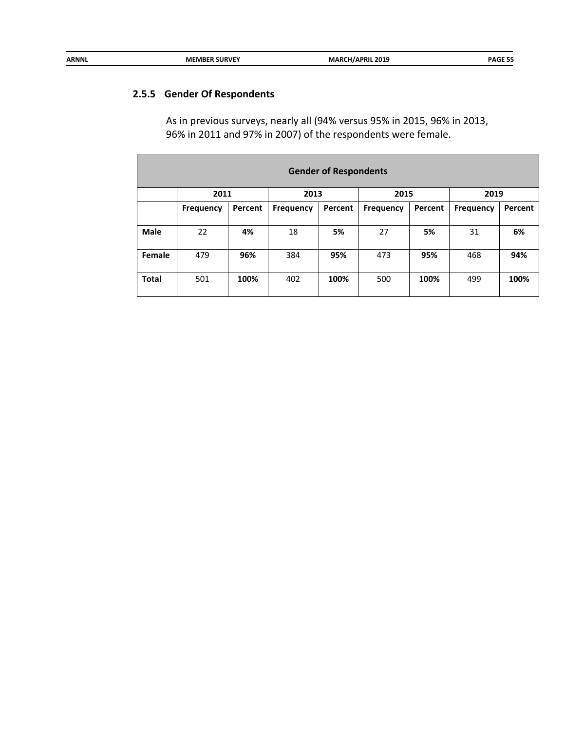| ARNNL | <b>MEMBER SURVEY</b> | <b>MARC'</b><br>ARCH/APRIL 2019 | <b>PAGE</b> |
|-------|----------------------|---------------------------------|-------------|
|       |                      |                                 |             |

# **2.5.5 Gender Of Respondents**

As in previous surveys, nearly all (94% versus 95% in 2015, 96% in 2013, 96% in 2011 and 97% in 2007) of the respondents were female.

| <b>Gender of Respondents</b> |                  |         |                  |         |           |         |                  |         |  |
|------------------------------|------------------|---------|------------------|---------|-----------|---------|------------------|---------|--|
|                              | 2011             |         | 2013             |         | 2015      |         | 2019             |         |  |
|                              | <b>Frequency</b> | Percent | <b>Frequency</b> | Percent | Frequency | Percent | <b>Frequency</b> | Percent |  |
|                              |                  |         |                  |         |           |         |                  |         |  |
| Male                         | 22               | 4%      | 18               | 5%      | 27        | 5%      | 31               | 6%      |  |
|                              |                  |         |                  |         |           |         |                  |         |  |
| Female                       | 479              | 96%     | 384              | 95%     | 473       | 95%     | 468              | 94%     |  |
|                              |                  |         |                  |         |           |         |                  |         |  |
| <b>Total</b>                 | 501              | 100%    | 402              | 100%    | 500       | 100%    | 499              | 100%    |  |
|                              |                  |         |                  |         |           |         |                  |         |  |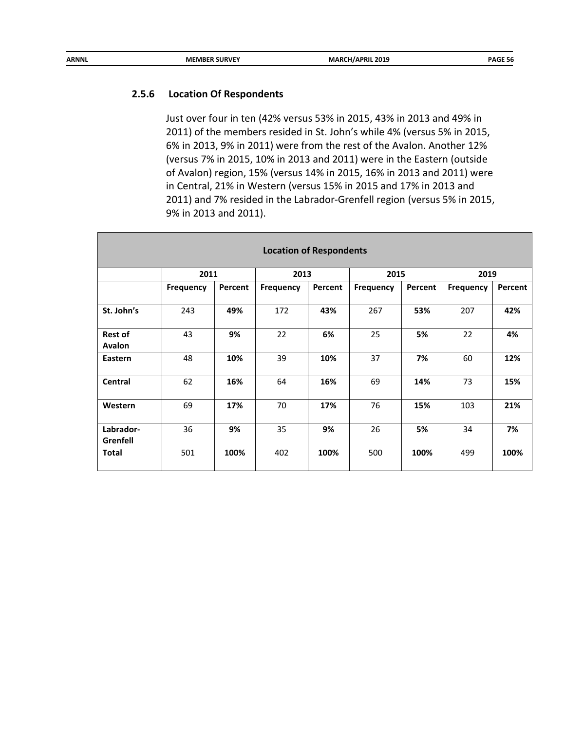## **2.5.6 Location Of Respondents**

Just over four in ten (42% versus 53% in 2015, 43% in 2013 and 49% in 2011) of the members resided in St. John's while 4% (versus 5% in 2015, 6% in 2013, 9% in 2011) were from the rest of the Avalon. Another 12% (versus 7% in 2015, 10% in 2013 and 2011) were in the Eastern (outside of Avalon) region, 15% (versus 14% in 2015, 16% in 2013 and 2011) were in Central, 21% in Western (versus 15% in 2015 and 17% in 2013 and 2011) and 7% resided in the Labrador-Grenfell region (versus 5% in 2015, 9% in 2013 and 2011).

| <b>Location of Respondents</b>  |                  |         |                  |         |                  |         |           |         |  |
|---------------------------------|------------------|---------|------------------|---------|------------------|---------|-----------|---------|--|
|                                 | 2011             |         | 2013             |         | 2015             |         | 2019      |         |  |
|                                 | <b>Frequency</b> | Percent | <b>Frequency</b> | Percent | <b>Frequency</b> | Percent | Frequency | Percent |  |
| St. John's                      | 243              | 49%     | 172              | 43%     | 267              | 53%     | 207       | 42%     |  |
| <b>Rest of</b><br><b>Avalon</b> | 43               | 9%      | 22               | 6%      | 25               | 5%      | 22        | 4%      |  |
| Eastern                         | 48               | 10%     | 39               | 10%     | 37               | 7%      | 60        | 12%     |  |
| <b>Central</b>                  | 62               | 16%     | 64               | 16%     | 69               | 14%     | 73        | 15%     |  |
| Western                         | 69               | 17%     | 70               | 17%     | 76               | 15%     | 103       | 21%     |  |
| Labrador-<br>Grenfell           | 36               | 9%      | 35               | 9%      | 26               | 5%      | 34        | 7%      |  |
| <b>Total</b>                    | 501              | 100%    | 402              | 100%    | 500              | 100%    | 499       | 100%    |  |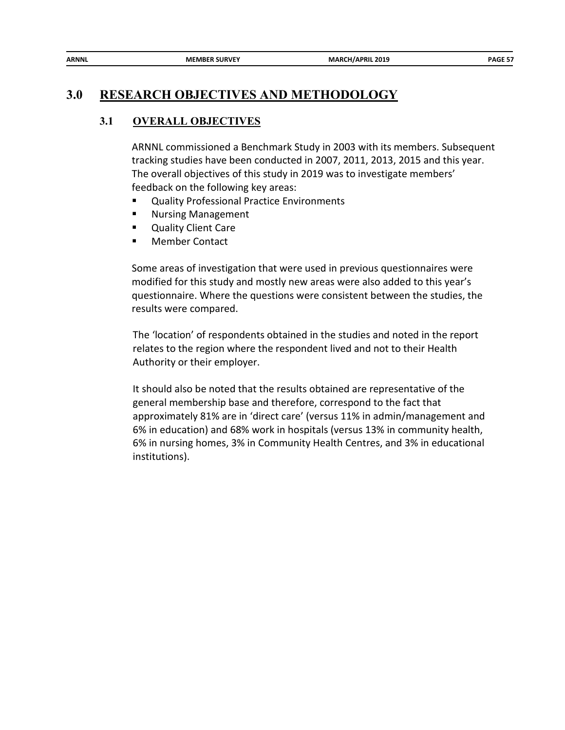| <b>ARNNL</b> | <b>MEMBER SURVEY</b> | <b>MARCH/APRIL 2019</b> | PAGE 57 |
|--------------|----------------------|-------------------------|---------|

# **3.0 RESEARCH OBJECTIVES AND METHODOLOGY**

## **3.1 OVERALL OBJECTIVES**

ARNNL commissioned a Benchmark Study in 2003 with its members. Subsequent tracking studies have been conducted in 2007, 2011, 2013, 2015 and this year. The overall objectives of this study in 2019 was to investigate members' feedback on the following key areas:

- **Quality Professional Practice Environments**
- **Nursing Management**
- **Quality Client Care**
- **Member Contact**

Some areas of investigation that were used in previous questionnaires were modified for this study and mostly new areas were also added to this year's questionnaire. Where the questions were consistent between the studies, the results were compared.

The 'location' of respondents obtained in the studies and noted in the report relates to the region where the respondent lived and not to their Health Authority or their employer.

It should also be noted that the results obtained are representative of the general membership base and therefore, correspond to the fact that approximately 81% are in 'direct care' (versus 11% in admin/management and 6% in education) and 68% work in hospitals (versus 13% in community health, 6% in nursing homes, 3% in Community Health Centres, and 3% in educational institutions).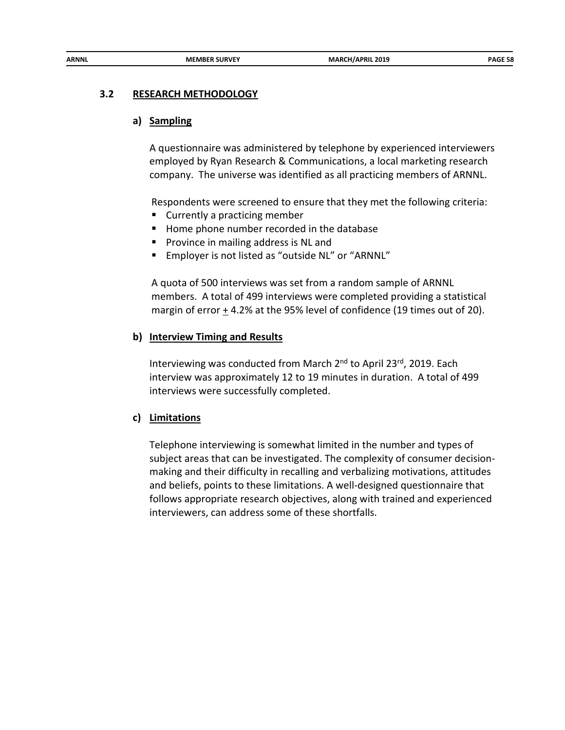#### **3.2 RESEARCH METHODOLOGY**

#### **a) Sampling**

A questionnaire was administered by telephone by experienced interviewers employed by Ryan Research & Communications, a local marketing research company. The universe was identified as all practicing members of ARNNL.

Respondents were screened to ensure that they met the following criteria:

- Currently a practicing member
- Home phone number recorded in the database
- **Province in mailing address is NL and**
- **Employer is not listed as "outside NL" or "ARNNL"**

A quota of 500 interviews was set from a random sample of ARNNL members. A total of 499 interviews were completed providing a statistical margin of error + 4.2% at the 95% level of confidence (19 times out of 20).

#### **b) Interview Timing and Results**

Interviewing was conducted from March 2<sup>nd</sup> to April 23<sup>rd</sup>, 2019. Each interview was approximately 12 to 19 minutes in duration. A total of 499 interviews were successfully completed.

#### **c) Limitations**

Telephone interviewing is somewhat limited in the number and types of subject areas that can be investigated. The complexity of consumer decisionmaking and their difficulty in recalling and verbalizing motivations, attitudes and beliefs, points to these limitations. A well-designed questionnaire that follows appropriate research objectives, along with trained and experienced interviewers, can address some of these shortfalls.